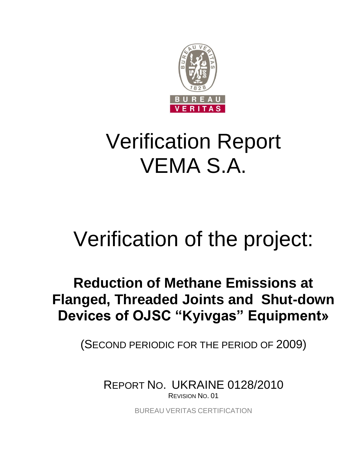

## Verification Report VEMA S.A.

## Verification of the project:

### **Reduction of Methane Emissions at Flanged, Threaded Joints and Shut-down Devices of OJSC "Kyivgas" Equipment»**

(SECOND PERIODIC FOR THE PERIOD OF 2009)

REPORT NO. UKRAINE 0128/2010 REVISION NO. 01

BUREAU VERITAS CERTIFICATION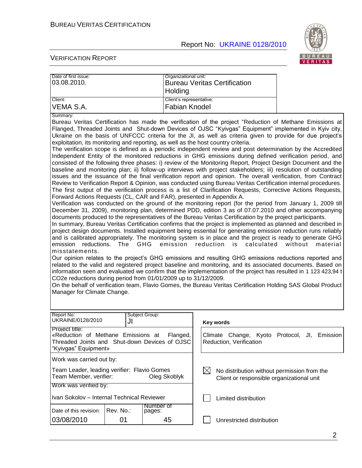

| Date of first issue:<br>03.08.2010.                                                                                                                                                                  |                 | Organizational unit:<br>Holding                                                                 | <b>Bureau Veritas Certification</b>                                                                                                                                                                                                                                                                                                                                                                                                                                                                                                                                                                                                                                                                                                                                                                                                                                                                                                                                                                                                                                                                                                                                                                                                                                                                                                                                                                                                                                                                                                                                                                                                                                                                                                                                                                                                                                                                                                                                                                                                                                                                                                                                                                                                                                                                                                                                                                                        |                     |
|------------------------------------------------------------------------------------------------------------------------------------------------------------------------------------------------------|-----------------|-------------------------------------------------------------------------------------------------|----------------------------------------------------------------------------------------------------------------------------------------------------------------------------------------------------------------------------------------------------------------------------------------------------------------------------------------------------------------------------------------------------------------------------------------------------------------------------------------------------------------------------------------------------------------------------------------------------------------------------------------------------------------------------------------------------------------------------------------------------------------------------------------------------------------------------------------------------------------------------------------------------------------------------------------------------------------------------------------------------------------------------------------------------------------------------------------------------------------------------------------------------------------------------------------------------------------------------------------------------------------------------------------------------------------------------------------------------------------------------------------------------------------------------------------------------------------------------------------------------------------------------------------------------------------------------------------------------------------------------------------------------------------------------------------------------------------------------------------------------------------------------------------------------------------------------------------------------------------------------------------------------------------------------------------------------------------------------------------------------------------------------------------------------------------------------------------------------------------------------------------------------------------------------------------------------------------------------------------------------------------------------------------------------------------------------------------------------------------------------------------------------------------------------|---------------------|
| Client:                                                                                                                                                                                              |                 | Client's representative:                                                                        |                                                                                                                                                                                                                                                                                                                                                                                                                                                                                                                                                                                                                                                                                                                                                                                                                                                                                                                                                                                                                                                                                                                                                                                                                                                                                                                                                                                                                                                                                                                                                                                                                                                                                                                                                                                                                                                                                                                                                                                                                                                                                                                                                                                                                                                                                                                                                                                                                            |                     |
| VEMA S.A.                                                                                                                                                                                            |                 | <b>Fabian Knodel</b>                                                                            |                                                                                                                                                                                                                                                                                                                                                                                                                                                                                                                                                                                                                                                                                                                                                                                                                                                                                                                                                                                                                                                                                                                                                                                                                                                                                                                                                                                                                                                                                                                                                                                                                                                                                                                                                                                                                                                                                                                                                                                                                                                                                                                                                                                                                                                                                                                                                                                                                            |                     |
| Summary:                                                                                                                                                                                             |                 |                                                                                                 |                                                                                                                                                                                                                                                                                                                                                                                                                                                                                                                                                                                                                                                                                                                                                                                                                                                                                                                                                                                                                                                                                                                                                                                                                                                                                                                                                                                                                                                                                                                                                                                                                                                                                                                                                                                                                                                                                                                                                                                                                                                                                                                                                                                                                                                                                                                                                                                                                            |                     |
| Forward Actions Requests (CL, CAR and FAR), presented in Appendix A.<br>emission<br>misstatements.<br>CO2e reductions during period from 01/01/2009 up to 31/12/2009.<br>Manager for Climate Change. | reductions. The | GHG<br>emission                                                                                 | Bureau Veritas Certification has made the verification of the project "Reduction of Methane Emissions at<br>Flanged, Threaded Joints and Shut-down Devices of OJSC "Kyivgas" Equipment" implemented in Kyiv city,<br>Ukraine on the basis of UNFCCC criteria for the JI, as well as criteria given to provide for due project's<br>exploitation, its monitoring and reporting, as well as the host country criteria.<br>The verification scope is defined as a periodic independent review and post determination by the Accredited<br>Independent Entity of the monitored reductions in GHG emissions during defined verification period, and<br>consisted of the following three phases: i) review of the Monitoring Report, Project Design Document and the<br>baseline and monitoring plan; ii) follow-up interviews with project stakeholders; iii) resolution of outstanding<br>issues and the issuance of the final verification report and opinion. The overall verification, from Contract<br>Review to Verification Report & Opinion, was conducted using Bureau Veritas Certification internal procedures.<br>The first output of the verification process is a list of Clarification Requests, Corrective Actions Requests,<br>Verification was conducted on the ground of the monitoring report (for the period from January 1, 2009 till<br>December 31, 2009), monitoring plan, determined PDD, edition 3 as of 07.07.2010 and other accompanying<br>documents produced to the representatives of the Bureau Veritas Certification by the project participants.<br>In summary, Bureau Veritas Certification confirms that the project is implemented as planned and described in<br>project design documents. Installed equipment being essential for generating emission reduction runs reliably<br>and is calibrated appropriately. The monitoring system is in place and the project is ready to generate GHG<br>reduction is<br>calculated<br>Our opinion relates to the project's GHG emissions and resulting GHG emissions reductions reported and<br>related to the valid and registered project baseline and monitoring, and its associated documents. Based on<br>information seen and evaluated we confirm that the implementation of the project has resulted in 1 123 423,94 t<br>On the behalf of verification team, Flavio Gomes, the Bureau Veritas Certification Holding SAS Global Product | without<br>material |
| Report No:<br>UKRAINE/0128/2010                                                                                                                                                                      | JI              | Subject Group:                                                                                  | Key words                                                                                                                                                                                                                                                                                                                                                                                                                                                                                                                                                                                                                                                                                                                                                                                                                                                                                                                                                                                                                                                                                                                                                                                                                                                                                                                                                                                                                                                                                                                                                                                                                                                                                                                                                                                                                                                                                                                                                                                                                                                                                                                                                                                                                                                                                                                                                                                                                  |                     |
| Project title:<br>«Reduction of Methane Emissions at<br>Flanged,<br>Threaded Joints and Shut-down Devices of OJSC<br>"Kyivgas" Equipment»                                                            |                 | Climate Change,<br>Reduction, Verification                                                      | Kyoto Protocol,<br>JI, Emission                                                                                                                                                                                                                                                                                                                                                                                                                                                                                                                                                                                                                                                                                                                                                                                                                                                                                                                                                                                                                                                                                                                                                                                                                                                                                                                                                                                                                                                                                                                                                                                                                                                                                                                                                                                                                                                                                                                                                                                                                                                                                                                                                                                                                                                                                                                                                                                            |                     |
| Work was carried out by:                                                                                                                                                                             |                 |                                                                                                 |                                                                                                                                                                                                                                                                                                                                                                                                                                                                                                                                                                                                                                                                                                                                                                                                                                                                                                                                                                                                                                                                                                                                                                                                                                                                                                                                                                                                                                                                                                                                                                                                                                                                                                                                                                                                                                                                                                                                                                                                                                                                                                                                                                                                                                                                                                                                                                                                                            |                     |
| Team Leader, leading verifier: Flavio Gomes<br>Team Member, verifier:<br>Oleg Skoblyk                                                                                                                |                 | No distribution without permission from the<br>IХI<br>Client or responsible organizational unit |                                                                                                                                                                                                                                                                                                                                                                                                                                                                                                                                                                                                                                                                                                                                                                                                                                                                                                                                                                                                                                                                                                                                                                                                                                                                                                                                                                                                                                                                                                                                                                                                                                                                                                                                                                                                                                                                                                                                                                                                                                                                                                                                                                                                                                                                                                                                                                                                                            |                     |
| Work was verified by:                                                                                                                                                                                |                 |                                                                                                 |                                                                                                                                                                                                                                                                                                                                                                                                                                                                                                                                                                                                                                                                                                                                                                                                                                                                                                                                                                                                                                                                                                                                                                                                                                                                                                                                                                                                                                                                                                                                                                                                                                                                                                                                                                                                                                                                                                                                                                                                                                                                                                                                                                                                                                                                                                                                                                                                                            |                     |
| Ivan Sokolov - Internal Technical Reviewer<br>Number of                                                                                                                                              |                 |                                                                                                 | Limited distribution                                                                                                                                                                                                                                                                                                                                                                                                                                                                                                                                                                                                                                                                                                                                                                                                                                                                                                                                                                                                                                                                                                                                                                                                                                                                                                                                                                                                                                                                                                                                                                                                                                                                                                                                                                                                                                                                                                                                                                                                                                                                                                                                                                                                                                                                                                                                                                                                       |                     |
| Date of this revision:                                                                                                                                                                               | Rev. No.:       | pages:                                                                                          |                                                                                                                                                                                                                                                                                                                                                                                                                                                                                                                                                                                                                                                                                                                                                                                                                                                                                                                                                                                                                                                                                                                                                                                                                                                                                                                                                                                                                                                                                                                                                                                                                                                                                                                                                                                                                                                                                                                                                                                                                                                                                                                                                                                                                                                                                                                                                                                                                            |                     |
| 03/08/2010                                                                                                                                                                                           | 01              | 45                                                                                              | Unrestricted distribution                                                                                                                                                                                                                                                                                                                                                                                                                                                                                                                                                                                                                                                                                                                                                                                                                                                                                                                                                                                                                                                                                                                                                                                                                                                                                                                                                                                                                                                                                                                                                                                                                                                                                                                                                                                                                                                                                                                                                                                                                                                                                                                                                                                                                                                                                                                                                                                                  |                     |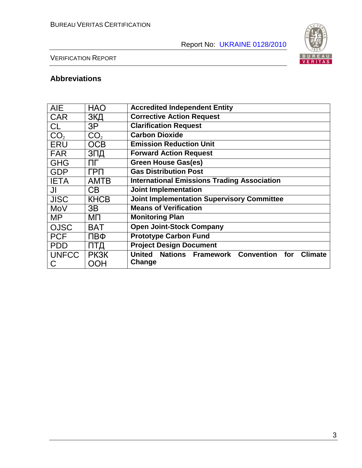

#### VERIFICATION REPORT

#### **Abbreviations**

| <b>AIE</b>      | <b>HAO</b>      | <b>Accredited Independent Entity</b>                                   |  |  |  |  |
|-----------------|-----------------|------------------------------------------------------------------------|--|--|--|--|
| <b>CAR</b>      | ЗКД             | <b>Corrective Action Request</b>                                       |  |  |  |  |
| <b>CL</b>       | 3P              | <b>Clarification Request</b>                                           |  |  |  |  |
| CO <sub>2</sub> | CO <sub>2</sub> | <b>Carbon Dioxide</b>                                                  |  |  |  |  |
| <b>ERU</b>      | <b>OCB</b>      | <b>Emission Reduction Unit</b>                                         |  |  |  |  |
| <b>FAR</b>      | ЗПД             | <b>Forward Action Request</b>                                          |  |  |  |  |
| <b>GHG</b>      | ПΓ              | <b>Green House Gas(es)</b>                                             |  |  |  |  |
| <b>GDP</b>      | ГРП             | <b>Gas Distribution Post</b>                                           |  |  |  |  |
| <b>IETA</b>     | <b>AMTB</b>     | <b>International Emissions Trading Association</b>                     |  |  |  |  |
| JI              | C <sub>B</sub>  | <b>Joint Implementation</b>                                            |  |  |  |  |
| <b>JISC</b>     | <b>KHCB</b>     | <b>Joint Implementation Supervisory Committee</b>                      |  |  |  |  |
| MoV             | 3B              | <b>Means of Verification</b>                                           |  |  |  |  |
| <b>MP</b>       | ΜП              | <b>Monitoring Plan</b>                                                 |  |  |  |  |
| <b>OJSC</b>     | <b>BAT</b>      | <b>Open Joint-Stock Company</b>                                        |  |  |  |  |
| <b>PCF</b>      | ПВФ             | <b>Prototype Carbon Fund</b>                                           |  |  |  |  |
| <b>PDD</b>      | ПТД             | <b>Project Design Document</b>                                         |  |  |  |  |
| <b>UNFCC</b>    | <b>PK3K</b>     | <b>Nations Framework Convention</b><br>United<br>for<br><b>Climate</b> |  |  |  |  |
| C               | OOH             | Change                                                                 |  |  |  |  |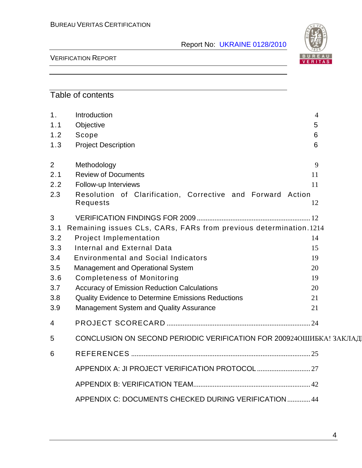

#### VERIFICATION REPORT

#### Table of contents

| 1 <sub>1</sub> | Introduction                                                                | 4  |  |
|----------------|-----------------------------------------------------------------------------|----|--|
| 1.1            | Objective                                                                   | 5  |  |
| 1.2            | Scope                                                                       | 6  |  |
| 1.3            | <b>Project Description</b>                                                  | 6  |  |
|                |                                                                             |    |  |
| $\overline{2}$ | Methodology                                                                 | 9  |  |
| 2.1            | <b>Review of Documents</b>                                                  | 11 |  |
| 2.2            | Follow-up Interviews                                                        | 11 |  |
| 2.3            | Resolution of Clarification, Corrective and Forward Action                  |    |  |
|                | Requests                                                                    | 12 |  |
| 3              |                                                                             |    |  |
| 3.1            | Remaining issues CLs, CARs, FARs from previous determination.1214           |    |  |
| 3.2            | <b>Project Implementation</b>                                               | 14 |  |
| 3.3            | Internal and External Data                                                  | 15 |  |
| 3.4            | <b>Environmental and Social Indicators</b>                                  | 19 |  |
| 3.5            | Management and Operational System                                           | 20 |  |
| 3.6            | <b>Completeness of Monitoring</b>                                           | 19 |  |
| 3.7            | <b>Accuracy of Emission Reduction Calculations</b>                          | 20 |  |
| 3.8            | Quality Evidence to Determine Emissions Reductions                          | 21 |  |
| 3.9            | Management System and Quality Assurance                                     | 21 |  |
| $\overline{4}$ |                                                                             |    |  |
| 5              | <b>CONCLUSION ON SECOND PERIODIC VERIFICATION FOR 200924ОШИБКА! ЗАКЛАД!</b> |    |  |
| 6              |                                                                             |    |  |
|                |                                                                             |    |  |
|                |                                                                             |    |  |
|                | APPENDIX C: DOCUMENTS CHECKED DURING VERIFICATION 44                        |    |  |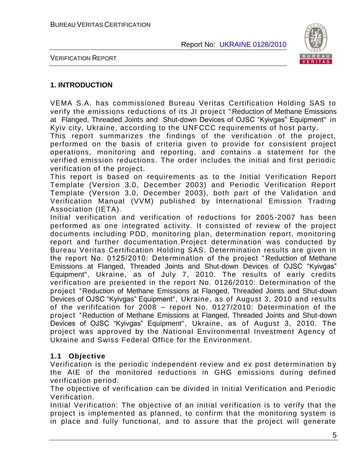

VERIFICATION REPORT

#### **1. INTRODUCTION**

VEMA S.A. has commissioned Bureau Veritas Certification Holding SAS to verify the emissions reductions of its JI project "Reduction of Methane Emissions at Flanged, Threaded Joints and Shut-down Devices of OJSC "Kyivgas" Equipment" in Kyiv city, Ukraine, according to the UNFCCC requirements of host party.

This report summarizes the findings of the verification of the project, performed on the basis of criteria given to provide for consistent project operations, monitoring and reporting, and contains a statement for the verified emission reductions. The order includes the initial and first periodic verification of the project.

This report is based on requirements as to the Initial Verification Report Template (Version 3.0, December 2003) and Periodic Verification Report Template (Version 3.0, December 2003), both part of the Validation and Verification Manual (VVM) published by International Emission Trading Association (IETA).

Initial verification and verification of reductions for 2005 -2007 has been performed as one integrated activity. It consisted of review of the project documents including PDD, monitoring plan, determination report, monitoring report and further documentation.Project determination was conducted by Bureau Veritas Certification Holding SAS. Determination results are given in the report No. 0125/2010: Determination of the project " Reduction of Methane Emissions at Flanged, Threaded Joints and Shut-down Devices of OJSC "Kyivgas" Equipment", Ukraine, as of July 7, 2010. The results of early credits verification are presented in the report No. 0126/2010: Determination of the project "Reduction of Methane Emissions at Flanged, Threaded Joints and Shut-down Devices of OJSC "Kyivgas" Equipment", Ukraine, as of August 3, 2010 and results of the verififcation for 2008 – report No. 0127/2010: Determination of the project "Reduction of Methane Emissions at Flanged, Threaded Joints and Shut-down Devices of OJSC "Kyivgas" Equipment", Ukraine, as of August 3, 2010. The project was approved by the National Environmental Investment Agency of Ukraine and Swiss Federal Office for the Environment.

#### **1.1 Objective**

Verification is the periodic independent review and ex post determination by the AIE of the monitored reductions in GHG emissions during defined verification period.

The objective of verification can be divided in Initial Verification and Periodic Verification.

Initial Verification: The objective of an initial verification is to verify that the project is implemented as planned, to confirm that the monitoring system is in place and fully functional, and to assure that the project will generate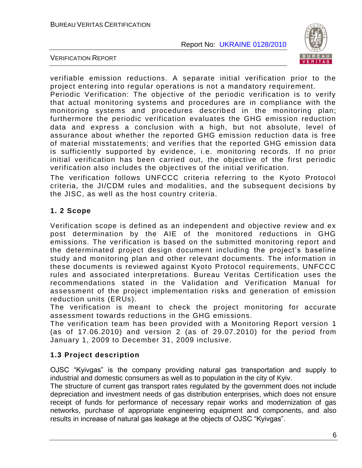

VERIFICATION REPORT

verifiable emission reductions. A separate initial verification prior to the project entering into regular operations is not a mandatory requirement.

Periodic Verification: The objective of the periodic verification is to verify that actual monitoring systems and procedures are in compliance with the monitoring systems and procedures described in the monitoring plan; furthermore the periodic verification evaluates the GHG emission reduction data and express a conclusion with a high, but not absolute, level of assurance about whether the reported GHG emission reduction data is free of material misstatements; and verifies that the reported GHG emission data is sufficiently supported by evidence, i.e. monitoring records. If no prior initial verification has been carried out, the objective of the first periodic verification also includes the objectives of the initial verification.

The verification follows UNFCCC criteria referring to the Kyoto Protocol criteria, the JI/CDM rules and modalities, and the subsequent decisions by the JISC, as well as the host country criteria.

#### **1. 2 Scope**

Verification scope is defined as an independent and objective review and ex post determination by the AIE of the monitored reductions in GHG emissions. The verification is based on the submitted monitoring report and the determinated project design document including the project"s baseline study and monitoring plan and other relevant documents. The information in these documents is reviewed against Kyoto Protocol requirements, UNFCCC rules and associated interpretations. Bureau Veritas Certification uses the recommendations stated in the Validation and Verification Manual for assessment of the project implementation risks and generation of emission reduction units (ERUs).

The verification is meant to check the project monitoring for accurate assessment towards reductions in the GHG emissions.

The verification team has been provided with a Monitoring Report version 1 (as of 17.06.2010) and version 2 (as of 29.07.2010) for the period from January 1, 2009 to December 31, 2009 inclusive.

#### **1.3 Project description**

OJSC "Kyivgas" is the company providing natural gas transportation and supply to industrial and domestic consumers as well as to population in the city of Kyiv.

The structure of current gas transport rates regulated by the government does not include depreciation and investment needs of gas distribution enterprises, which does not ensure receipt of funds for performance of necessary repair works and modernization of gas networks, purchase of appropriate engineering equipment and components, and also results in increase of natural gas leakage at the objects of OJSC "Kyivgas".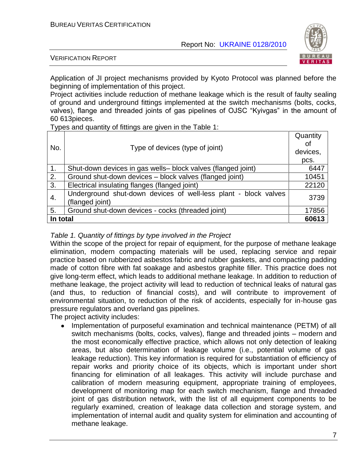

VERIFICATION REPORT

Application of JI project mechanisms provided by Kyoto Protocol was planned before the beginning of implementation of this project.

Project activities include reduction of methane leakage which is the result of faulty sealing of ground and underground fittings implemented at the switch mechanisms (bolts, cocks, valves), flange and threaded joints of gas pipelines of OJSC "Kyivgas" in the amount of 60 613pieces.

Types and quantity of fittings are given in the Table 1:

| No.              | Type of devices (type of joint)                                                    | Quantity<br>οf<br>devices,<br>pcs. |
|------------------|------------------------------------------------------------------------------------|------------------------------------|
| $\overline{1}$ . | Shut-down devices in gas wells- block valves (flanged joint)                       | 6447                               |
| 2.               | Ground shut-down devices - block valves (flanged joint)                            | 10451                              |
| 3.               | Electrical insulating flanges (flanged joint)                                      | 22120                              |
| 4.               | Underground shut-down devices of well-less plant - block valves<br>(flanged joint) | 3739                               |
| 5.               | Ground shut-down devices - cocks (threaded joint)                                  | 17856                              |
| In total         |                                                                                    | 60613                              |

#### *Table 1. Quantity of fittings by type involved in the Project*

Within the scope of the project for repair of equipment, for the purpose of methane leakage elimination, modern compacting materials will be used, replacing service and repair practice based on rubberized asbestos fabric and rubber gaskets, and compacting padding made of cotton fibre with fat soakage and asbestos graphite filler. This practice does not give long-term effect, which leads to additional methane leakage. In addition to reduction of methane leakage, the project activity will lead to reduction of technical leaks of natural gas (and thus, to reduction of financial costs), and will contribute to improvement of environmental situation, to reduction of the risk of accidents, especially for in-house gas pressure regulators and overland gas pipelines.

The project activity includes:

Implementation of purposeful examination and technical maintenance (PETM) of all switch mechanisms (bolts, cocks, valves), flange and threaded joints – modern and the most economically effective practice, which allows not only detection of leaking areas, but also determination of leakage volume (i.e., potential volume of gas leakage reduction). This key information is required for substantiation of efficiency of repair works and priority choice of its objects, which is important under short financing for elimination of all leakages. This activity will include purchase and calibration of modern measuring equipment, appropriate training of employees, development of monitoring map for each switch mechanism, flange and threaded joint of gas distribution network, with the list of all equipment components to be regularly examined, creation of leakage data collection and storage system, and implementation of internal audit and quality system for elimination and accounting of methane leakage.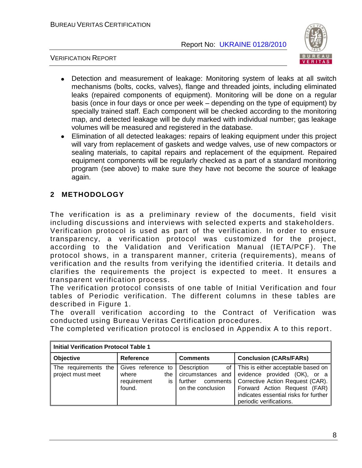VERIFICATION REPORT



- Detection and measurement of leakage: Monitoring system of leaks at all switch mechanisms (bolts, cocks, valves), flange and threaded joints, including eliminated leaks (repaired components of equipment). Monitoring will be done on a regular basis (once in four days or once per week – depending on the type of equipment) by specially trained staff. Each component will be checked according to the monitoring map, and detected leakage will be duly marked with individual number; gas leakage volumes will be measured and registered in the database.
- Elimination of all detected leakages: repairs of leaking equipment under this project  $\bullet$ will vary from replacement of gaskets and wedge valves, use of new compactors or sealing materials, to capital repairs and replacement of the equipment. Repaired equipment components will be regularly checked as a part of a standard monitoring program (see above) to make sure they have not become the source of leakage again.

#### **2 METHODOLOGY**

The verification is as a preliminary review of the documents, field visit including discussions and interviews with selected experts and stakeholders. Verification protocol is used as part of the verification. In order to ensure transparency, a verification protocol was customized for the project, according to the Validation and Verification Manual (IETA/PCF). The protocol shows, in a transparent manner, criteria (requirements), means of verification and the results from verifying the identified criteria. It details and clarifies the requirements the project is expected to meet. It ensures a transparent verification process.

The verification protocol consists of one table of Initial Verification and four tables of Periodic verification. The different columns in these tables are described in Figure 1.

The overall verification according to the Contract of Verification was conducted using Bureau Veritas Certification procedures.

The completed verification protocol is enclosed in Appendix A to this report .

| <b>Initial Verification Protocol Table 1</b> |                                                                    |                                                                              |                                                                                                                                                                                                                   |  |  |  |
|----------------------------------------------|--------------------------------------------------------------------|------------------------------------------------------------------------------|-------------------------------------------------------------------------------------------------------------------------------------------------------------------------------------------------------------------|--|--|--|
| <b>Objective</b>                             | <b>Reference</b>                                                   | <b>Comments</b>                                                              | <b>Conclusion (CARs/FARs)</b>                                                                                                                                                                                     |  |  |  |
| The requirements the<br>project must meet    | Gives reference to<br>where<br>the<br>requirement<br>İS.<br>found. | Description<br>circumstances and<br>comments<br>further<br>on the conclusion | of   This is either acceptable based on  <br>evidence provided (OK), or a<br>Corrective Action Request (CAR).<br>Forward Action Request (FAR)<br>indicates essential risks for further<br>periodic verifications. |  |  |  |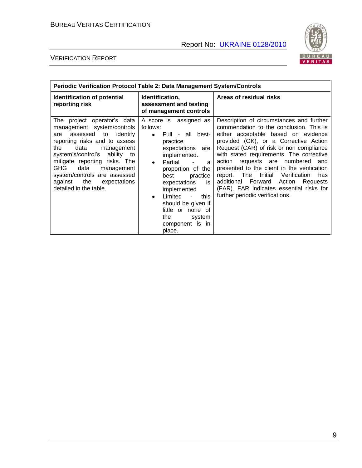

| <b>Periodic Verification Protocol Table 2: Data Management System/Controls</b>                                                                                                                                                                                                                                                                              |                                                                                                                                                                                                                                                                                                                                                             |                                                                                                                                                                                                                                                                                                                                                                                                                                                                                                                                 |  |  |  |
|-------------------------------------------------------------------------------------------------------------------------------------------------------------------------------------------------------------------------------------------------------------------------------------------------------------------------------------------------------------|-------------------------------------------------------------------------------------------------------------------------------------------------------------------------------------------------------------------------------------------------------------------------------------------------------------------------------------------------------------|---------------------------------------------------------------------------------------------------------------------------------------------------------------------------------------------------------------------------------------------------------------------------------------------------------------------------------------------------------------------------------------------------------------------------------------------------------------------------------------------------------------------------------|--|--|--|
| Identification of potential<br>reporting risk                                                                                                                                                                                                                                                                                                               | Identification,<br>assessment and testing<br>of management controls                                                                                                                                                                                                                                                                                         | Areas of residual risks                                                                                                                                                                                                                                                                                                                                                                                                                                                                                                         |  |  |  |
| The project operator's data<br>management system/controls<br>assessed to<br>identify<br>are<br>reporting risks and to assess<br>the<br>data<br>management<br>system's/control's ability to<br>mitigate reporting risks. The<br><b>GHG</b><br>data<br>management<br>system/controls are assessed<br>the<br>against<br>expectations<br>detailed in the table. | A score is assigned as<br>follows:<br>Full - all best-<br>practice<br>expectations are<br>implemented.<br>Partial<br>$\bullet$<br>a<br>proportion of the<br>practice<br>best<br>expectations<br>is.<br>implemented<br>Limited<br>this<br>$\mathbf{r}$<br>$\bullet$<br>should be given if<br>little or none of<br>the<br>system<br>component is in<br>place. | Description of circumstances and further<br>commendation to the conclusion. This is<br>either acceptable based on evidence<br>provided (OK), or a Corrective Action<br>Request (CAR) of risk or non compliance<br>with stated requirements. The corrective<br>action requests are numbered<br>and<br>presented to the client in the verification<br>Verification<br>report. The<br>Initial<br>has<br>Forward<br>additional<br>Action<br>Requests<br>(FAR). FAR indicates essential risks for<br>further periodic verifications. |  |  |  |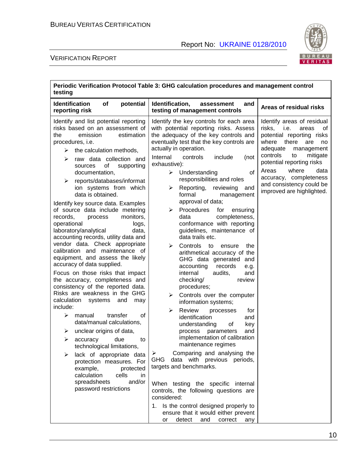

| Periodic Verification Protocol Table 3: GHG calculation procedures and management control<br>testing                                                                                                                                                                                                                                                                                                                                                                                                                                                                                                                                                                                                                                                                                                                                                                                                                                                                                                                                                                                                                                                                                                                |                                                                                                                                                                                                                                                                                                                                                                                                                                                                                                                                                                                                                                                                                                                                                                                                                                                                                                                                                                                                                                                                                                                                                                                                                                                                                                                                                                        |                                                                                                                                                                                                                                                                                                                           |  |  |  |
|---------------------------------------------------------------------------------------------------------------------------------------------------------------------------------------------------------------------------------------------------------------------------------------------------------------------------------------------------------------------------------------------------------------------------------------------------------------------------------------------------------------------------------------------------------------------------------------------------------------------------------------------------------------------------------------------------------------------------------------------------------------------------------------------------------------------------------------------------------------------------------------------------------------------------------------------------------------------------------------------------------------------------------------------------------------------------------------------------------------------------------------------------------------------------------------------------------------------|------------------------------------------------------------------------------------------------------------------------------------------------------------------------------------------------------------------------------------------------------------------------------------------------------------------------------------------------------------------------------------------------------------------------------------------------------------------------------------------------------------------------------------------------------------------------------------------------------------------------------------------------------------------------------------------------------------------------------------------------------------------------------------------------------------------------------------------------------------------------------------------------------------------------------------------------------------------------------------------------------------------------------------------------------------------------------------------------------------------------------------------------------------------------------------------------------------------------------------------------------------------------------------------------------------------------------------------------------------------------|---------------------------------------------------------------------------------------------------------------------------------------------------------------------------------------------------------------------------------------------------------------------------------------------------------------------------|--|--|--|
| <b>Identification</b><br>of<br>potential<br>reporting risk                                                                                                                                                                                                                                                                                                                                                                                                                                                                                                                                                                                                                                                                                                                                                                                                                                                                                                                                                                                                                                                                                                                                                          | Identification,<br>and<br>assessment<br>testing of management controls                                                                                                                                                                                                                                                                                                                                                                                                                                                                                                                                                                                                                                                                                                                                                                                                                                                                                                                                                                                                                                                                                                                                                                                                                                                                                                 | Areas of residual risks                                                                                                                                                                                                                                                                                                   |  |  |  |
| Identify and list potential reporting<br>risks based on an assessment of<br>emission<br>estimation<br>the<br>procedures, i.e.<br>the calculation methods,<br>➤<br>raw data collection and<br>➤<br>of<br>supporting<br>sources<br>documentation,<br>reports/databases/informat<br>➤<br>ion systems from which<br>data is obtained.<br>Identify key source data. Examples<br>of source data include metering<br>monitors,<br>records,<br>process<br>operational<br>logs,<br>laboratory/analytical<br>data,<br>accounting records, utility data and<br>vendor data. Check appropriate<br>calibration and maintenance of<br>equipment, and assess the likely<br>accuracy of data supplied.<br>Focus on those risks that impact<br>the accuracy, completeness and<br>consistency of the reported data.<br>Risks are weakness in the GHG<br>calculation<br>systems<br>and<br>may<br>include:<br>➤<br>transfer<br>οf<br>manual<br>data/manual calculations,<br>unclear origins of data,<br>➤<br>➤<br>due<br>accuracy<br>to<br>technological limitations,<br>lack of appropriate data<br>protection measures. For<br>example,<br>protected<br>calculation<br>cells<br>in<br>and/or<br>spreadsheets<br>password restrictions | Identify the key controls for each area<br>with potential reporting risks. Assess<br>the adequacy of the key controls and<br>eventually test that the key controls are<br>actually in operation.<br>Internal<br>controls<br>include<br>(not<br>exhaustive):<br>$\triangleright$ Understanding<br>οf<br>responsibilities and roles<br>Reporting, reviewing<br>➤<br>and<br>formal<br>management<br>approval of data;<br>Procedures<br>for<br>ensuring<br>➤<br>completeness,<br>data<br>conformance with reporting<br>guidelines, maintenance of<br>data trails etc.<br>$\blacktriangleright$<br>Controls<br>to<br>ensure<br>the<br>arithmetical accuracy of the<br>GHG data generated and<br>records<br>accounting<br>e.g.<br>internal<br>audits,<br>and<br>checking/<br>review<br>procedures;<br>Controls over the computer<br>➤<br>information systems;<br>➤<br>Review<br>processes<br>for<br>identification<br>and<br>understanding<br>key<br>οf<br>parameters<br>and<br>process<br>implementation of calibration<br>maintenance regimes<br>Comparing and analysing the<br>➤<br>data with previous periods,<br>GHG<br>targets and benchmarks.<br>When testing the specific internal<br>controls, the following questions are<br>considered:<br>1. Is the control designed properly to<br>ensure that it would either prevent<br>detect<br>and<br>correct<br>or<br>any | Identify areas of residual<br>risks,<br>i.e.<br>areas<br>οf<br>potential reporting risks<br>there<br>where<br>are<br>no<br>adequate<br>management<br>controls<br>mitigate<br>to<br>potential reporting risks<br>Areas<br>where<br>data<br>accuracy, completeness<br>and consistency could be<br>improved are highlighted. |  |  |  |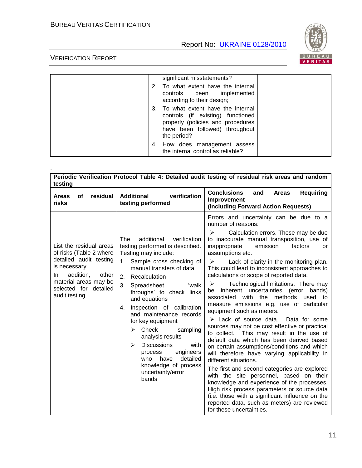

|  | significant misstatements?                                                                                                                                     |  |
|--|----------------------------------------------------------------------------------------------------------------------------------------------------------------|--|
|  | 2. To what extent have the internal<br>controls been implemented<br>according to their design;                                                                 |  |
|  | 3. To what extent have the internal<br>controls (if existing) functioned<br>properly (policies and procedures<br>have been followed) throughout<br>the period? |  |
|  | 4. How does management assess<br>the internal control as reliable?                                                                                             |  |

| testing                                                                                                                                                                                        |                                                                                                                                                                                                                                                                                                                                                                                                                                                                                                                                           | Periodic Verification Protocol Table 4: Detailed audit testing of residual risk areas and random                                                                                                                                                                                                                                                                                                                                                                                                                                                                                                                                                                                                                                                                                                                                                                                                                                                                                                                                                                                                                                                                                                                                              |
|------------------------------------------------------------------------------------------------------------------------------------------------------------------------------------------------|-------------------------------------------------------------------------------------------------------------------------------------------------------------------------------------------------------------------------------------------------------------------------------------------------------------------------------------------------------------------------------------------------------------------------------------------------------------------------------------------------------------------------------------------|-----------------------------------------------------------------------------------------------------------------------------------------------------------------------------------------------------------------------------------------------------------------------------------------------------------------------------------------------------------------------------------------------------------------------------------------------------------------------------------------------------------------------------------------------------------------------------------------------------------------------------------------------------------------------------------------------------------------------------------------------------------------------------------------------------------------------------------------------------------------------------------------------------------------------------------------------------------------------------------------------------------------------------------------------------------------------------------------------------------------------------------------------------------------------------------------------------------------------------------------------|
| residual<br>οf<br><b>Areas</b><br>risks                                                                                                                                                        | verification<br><b>Additional</b><br>testing performed                                                                                                                                                                                                                                                                                                                                                                                                                                                                                    | <b>Conclusions</b><br><b>Requiring</b><br><b>Areas</b><br>and<br>Improvement<br>(including Forward Action Requests)                                                                                                                                                                                                                                                                                                                                                                                                                                                                                                                                                                                                                                                                                                                                                                                                                                                                                                                                                                                                                                                                                                                           |
| List the residual areas<br>of risks (Table 2 where<br>detailed audit testing<br>is necessary.<br>addition,<br>other<br>In.<br>material areas may be<br>selected for detailed<br>audit testing. | additional<br>verification<br>The<br>testing performed is described.<br>Testing may include:<br>Sample cross checking of<br>1.<br>manual transfers of data<br>2.<br>Recalculation<br>3.<br>Spreadsheet<br>'walk<br>throughs' to check links<br>and equations<br>Inspection of calibration<br>4.<br>and maintenance records<br>for key equipment<br>Check<br>≻<br>sampling<br>analysis results<br><b>Discussions</b><br>⋗<br>with<br>engineers<br>process<br>who<br>have<br>detailed<br>knowledge of process<br>uncertainty/error<br>bands | Errors and uncertainty can be due to a<br>number of reasons:<br>Calculation errors. These may be due<br>≻<br>to inaccurate manual transposition, use of<br>inappropriate<br>emission<br>factors<br>or<br>assumptions etc.<br>≻<br>Lack of clarity in the monitoring plan.<br>This could lead to inconsistent approaches to<br>calculations or scope of reported data.<br>Technological limitations. There may<br>➤<br>inherent uncertainties (error<br>bands)<br>be<br>associated with the methods<br>used to<br>measure emissions e.g. use of particular<br>equipment such as meters.<br>$\triangleright$ Lack of source data.<br>Data for some<br>sources may not be cost effective or practical<br>to collect.<br>This may result in the use of<br>default data which has been derived based<br>on certain assumptions/conditions and which<br>will therefore have varying applicability in<br>different situations.<br>The first and second categories are explored<br>with the site personnel, based on their<br>knowledge and experience of the processes.<br>High risk process parameters or source data<br>(i.e. those with a significant influence on the<br>reported data, such as meters) are reviewed<br>for these uncertainties. |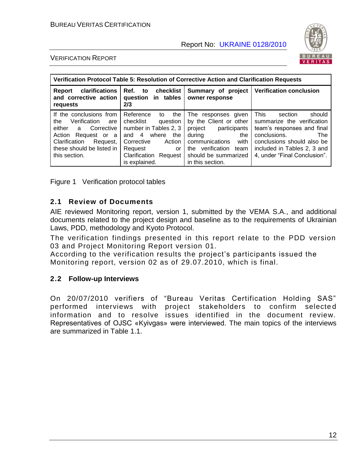

#### VERIFICATION REPORT

| Verification Protocol Table 5: Resolution of Corrective Action and Clarification Requests                                                                                            |                                                                                                                                                                                      |                                                                                                                                                                                             |                                                                                                                                                                                                                         |  |  |
|--------------------------------------------------------------------------------------------------------------------------------------------------------------------------------------|--------------------------------------------------------------------------------------------------------------------------------------------------------------------------------------|---------------------------------------------------------------------------------------------------------------------------------------------------------------------------------------------|-------------------------------------------------------------------------------------------------------------------------------------------------------------------------------------------------------------------------|--|--|
| clarifications<br>Report<br>and corrective action<br>requests                                                                                                                        | Ref. to checklist<br>question in tables<br>2/3                                                                                                                                       | Summary of project<br>owner response                                                                                                                                                        | <b>Verification conclusion</b>                                                                                                                                                                                          |  |  |
| If the conclusions from<br>Verification<br>the<br>are<br>either<br>a Corrective<br>Action<br>Request or a<br>Clarification<br>Request,<br>these should be listed in<br>this section. | Reference<br>the<br>to<br>checklist<br>question<br>number in Tables 2, 3<br>and 4 where<br>the<br>Corrective<br>Action<br>Request<br>or<br>Clarification<br>Request<br>is explained. | The<br>responses given<br>by the Client or other<br>project participants<br>during<br>the<br>communications<br>with<br>verification team<br>the<br>should be summarized<br>in this section. | <b>This</b><br>should<br>section<br>summarize the verification<br>team's responses and final<br>conclusions.<br><b>The</b><br>conclusions should also be<br>included in Tables 2, 3 and<br>4, under "Final Conclusion". |  |  |

Figure 1 Verification protocol tables

#### **2.1 Review of Documents**

AIE reviewed Monitoring report, version 1, submitted by the VEMA S.A., and additional documents related to the project design and baseline as to the requirements of Ukrainian Laws, PDD, methodology and Kyoto Protocol.

The verification findings presented in this report relate to the PDD version 03 and Project Monitoring Report version 01.

According to the verification results the project"s participants issued the Monitoring report, version 02 as of 29.07.2010, which is final.

#### **2.2 Follow-up Interviews**

On 20/07/2010 verifiers of "Bureau Veritas Certification Holding SAS" performed interviews with project stakeholders to confirm selecte d information and to resolve issues identified in the document review. Representatives of OJSC «Kyivgas» were interviewed. The main topics of the interviews are summarized in Table 1.1.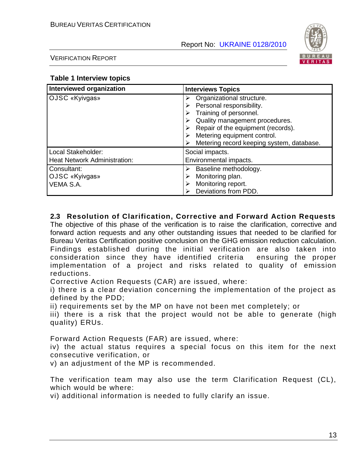

VERIFICATION REPORT

#### **Table 1 Interview topics**

| <b>Interviewed organization</b>                           | <b>Interviews Topics</b>                                                                                                                                |  |
|-----------------------------------------------------------|---------------------------------------------------------------------------------------------------------------------------------------------------------|--|
| OJSC «Kyivgas»                                            | Organizational structure.<br>Personal responsibility.<br>Training of personnel.<br>Quality management procedures.<br>Repair of the equipment (records). |  |
|                                                           | Metering equipment control.<br>Metering record keeping system, database.                                                                                |  |
| Local Stakeholder:<br><b>Heat Network Administration:</b> | Social impacts.<br>Environmental impacts.                                                                                                               |  |
| Consultant:<br>OJSC «Kyivgas»<br>VEMA S.A.                | Baseline methodology.<br>Monitoring plan.<br>Monitoring report.<br>Deviations from PDD.                                                                 |  |

#### **2.3 Resolution of Clarification, Corrective and Forward Action Requests**

The objective of this phase of the verification is to raise the clarification, corrective and forward action requests and any other outstanding issues that needed to be clarified for Bureau Veritas Certification positive conclusion on the GHG emission reduction calculation. Findings established during the initial verification are also taken into consideration since they have identified criteria ensuring the proper implementation of a project and risks related to quality of emission reductions.

Corrective Action Requests (CAR) are issued, where:

i) there is a clear deviation concerning the implementation of the project as defined by the PDD;

ii) requirements set by the MP on have not been met completely; or

iii) there is a risk that the project would not be able to generate (high quality) ERUs.

Forward Action Requests (FAR) are issued, where:

iv) the actual status requires a special focus on this item for the next consecutive verification, or

v) an adjustment of the MP is recommended.

The verification team may also use the term Clarification Request (CL), which would be where:

vi) additional information is needed to fully clarify an issue.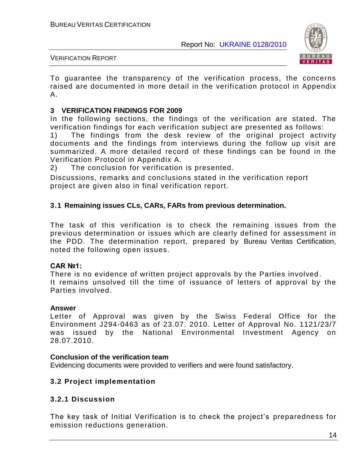

#### VERIFICATION REPORT

To guarantee the transparency of the verification process, the concerns raised are documented in more detail in the verification protocol in Appendix A.

#### **3 VERIFICATION FINDINGS FOR 2009**

In the following sections, the findings of the verification are stated. The verification findings for each verification subject are presented as follows:

1) The findings from the desk review of the original project activity documents and the findings from interviews during the follow up visit are summarized. A more detailed record of these findings can be found in the Verification Protocol in Appendix A.

2) The conclusion for verification is presented.

Discussions, remarks and conclusions stated in the verification report project are given also in final verification report.

#### **3.1 Remaining issues CLs, CARs, FARs from previous determination.**

The task of this verification is to check the remaining issues from the previous determination or issues which are clearly defined for assessment in the PDD. The determination report, prepared by Bureau Veritas Certification, noted the following open issues.

#### **CAR №1:**

There is no evidence of written project approvals by the Parties involved . It remains unsolved till the time of issuance of letters of approval by the Parties involved.

#### **Answer**

Letter of Approval was given by the Swiss Federal Office for the Environment J294-0463 as of 23.07. 2010. Letter of Approval No. 1121/23/7 was issued by the National Environmental Investment Agency on 28.07.2010.

#### **Conclusion of the verification team**

Evidencing documents were provided to verifiers and were found satisfactory.

#### **3.2 Project implementation**

#### **3.2.1 Discussion**

The key task of Initial Verification is to check the project"s preparedness for emission reductions generation.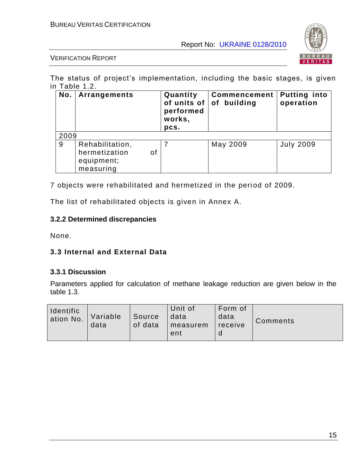

VERIFICATION REPORT

The status of project's implementation, including the basic stages, is given in Table 1.2.

| No.  | Arrangements                                                      | Quantity<br>of units of $ $<br>performed<br>works,<br>pcs. | <b>Commencement</b><br>of building | <b>Putting into</b><br>operation |
|------|-------------------------------------------------------------------|------------------------------------------------------------|------------------------------------|----------------------------------|
| 2009 |                                                                   |                                                            |                                    |                                  |
| 9    | Rehabilitation,<br>hermetization<br>of<br>equipment;<br>measuring |                                                            | May 2009                           | <b>July 2009</b>                 |

7 objects were rehabilitated and hermetized in the period of 2009.

The list of rehabilitated objects is given in Annex A.

#### **3.2.2 Determined discrepancies**

None.

#### **3.3 Internal and External Data**

#### **3.3.1 Discussion**

Parameters applied for calculation of methane leakage reduction are given below in the table 1.3.

| Identific<br>ation No. | Variable<br>data | Source<br>of data | Unit of<br>  data<br>  measurem<br>ent | i Form of<br>data<br>receive | Comments |
|------------------------|------------------|-------------------|----------------------------------------|------------------------------|----------|
|------------------------|------------------|-------------------|----------------------------------------|------------------------------|----------|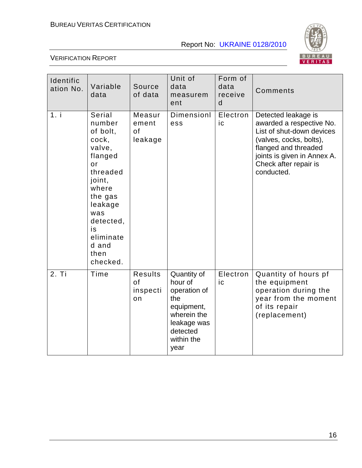

| Identific<br>ation No. | Variable<br>data                                                                                                                                                                                 | Source<br>of data                      | Unit of<br>data<br>measurem<br>ent                                                                                          | Form of<br>data<br>receive<br>d | Comments                                                                                                                                                                                              |
|------------------------|--------------------------------------------------------------------------------------------------------------------------------------------------------------------------------------------------|----------------------------------------|-----------------------------------------------------------------------------------------------------------------------------|---------------------------------|-------------------------------------------------------------------------------------------------------------------------------------------------------------------------------------------------------|
| 1. i                   | <b>Serial</b><br>number<br>of bolt,<br>cock,<br>valve,<br>flanged<br>or<br>threaded<br>joint,<br>where<br>the gas<br>leakage<br>was<br>detected,<br>is<br>eliminate<br>d and<br>then<br>checked. | Measur<br>ement<br>of<br>leakage       | Dimensionl<br>ess                                                                                                           | Electron<br>ic                  | Detected leakage is<br>awarded a respective No.<br>List of shut-down devices<br>(valves, cocks, bolts),<br>flanged and threaded<br>joints is given in Annex A.<br>Check after repair is<br>conducted. |
| 2. Ti                  | Time                                                                                                                                                                                             | <b>Results</b><br>of<br>inspecti<br>on | Quantity of<br>hour of<br>operation of<br>the<br>equipment,<br>wherein the<br>leakage was<br>detected<br>within the<br>year | Electron<br>ic                  | Quantity of hours pf<br>the equipment<br>operation during the<br>year from the moment<br>of its repair<br>(replacement)                                                                               |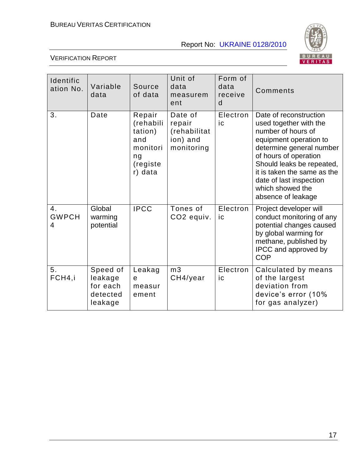

| Identific<br>ation No.  | Variable<br>data                                       | Source<br>of data                                                              | Unit of<br>data<br>measurem<br>ent                          | Form of<br>data<br>receive<br>d | Comments                                                                                                                                                                                                                                                                               |
|-------------------------|--------------------------------------------------------|--------------------------------------------------------------------------------|-------------------------------------------------------------|---------------------------------|----------------------------------------------------------------------------------------------------------------------------------------------------------------------------------------------------------------------------------------------------------------------------------------|
| 3.                      | Date                                                   | Repair<br>(rehabili<br>tation)<br>and<br>monitori<br>ng<br>(registe<br>r) data | Date of<br>repair<br>(rehabilitat<br>ion) and<br>monitoring | Electron<br>ic                  | Date of reconstruction<br>used together with the<br>number of hours of<br>equipment operation to<br>determine general number<br>of hours of operation<br>Should leaks be repeated,<br>it is taken the same as the<br>date of last inspection<br>which showed the<br>absence of leakage |
| 4.<br><b>GWPCH</b><br>4 | Global<br>warming<br>potential                         | <b>IPCC</b>                                                                    | Tones of<br>CO2 equiv.                                      | Electron<br>ic                  | Project developer will<br>conduct monitoring of any<br>potential changes caused<br>by global warming for<br>methane, published by<br>IPCC and approved by<br><b>COP</b>                                                                                                                |
| 5.<br>FCH4,i            | Speed of<br>leakage<br>for each<br>detected<br>leakage | Leakag<br>e<br>measur<br>ement                                                 | m <sub>3</sub><br>CH4/year                                  | Electron<br>ic                  | Calculated by means<br>of the largest<br>deviation from<br>device's error (10%<br>for gas analyzer)                                                                                                                                                                                    |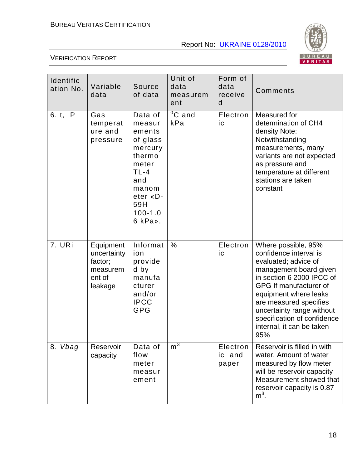

| Identific<br>ation No. | Variable<br>data                                                     | Source<br>of data                                                                                                                             | Unit of<br>data<br>measurem<br>ent | Form of<br>data<br>receive<br>d | Comments                                                                                                                                                                                                                                                                                                  |
|------------------------|----------------------------------------------------------------------|-----------------------------------------------------------------------------------------------------------------------------------------------|------------------------------------|---------------------------------|-----------------------------------------------------------------------------------------------------------------------------------------------------------------------------------------------------------------------------------------------------------------------------------------------------------|
| 6. t, P                | Gas<br>temperat<br>ure and<br>pressure                               | Data of<br>measur<br>ements<br>of glass<br>mercury<br>thermo<br>meter<br>$TL-4$<br>and<br>manom<br>eter «D-<br>59H-<br>$100 - 1.0$<br>6 kPa». | $\overline{{}^0C}$ and<br>kPa      | Electron<br>ic                  | Measured for<br>determination of CH4<br>density Note:<br>Notwithstanding<br>measurements, many<br>variants are not expected<br>as pressure and<br>temperature at different<br>stations are taken<br>constant                                                                                              |
| 7. URi                 | Equipment<br>uncertainty<br>factor;<br>measurem<br>ent of<br>leakage | Informat<br>ion<br>provide<br>d by<br>manufa<br>cturer<br>and/or<br><b>IPCC</b><br><b>GPG</b>                                                 | $\%$                               | Electron<br>ic                  | Where possible, 95%<br>confidence interval is<br>evaluated; advice of<br>management board given<br>in section 6 2000 IPCC of<br>GPG If manufacturer of<br>equipment where leaks<br>are measured specifies<br>uncertainty range without<br>specification of confidence<br>internal, it can be taken<br>95% |
| 8. Vbag                | Reservoir<br>capacity                                                | Data of<br>flow<br>meter<br>measur<br>ement                                                                                                   | m <sup>3</sup>                     | Electron<br>ic and<br>paper     | Reservoir is filled in with<br>water. Amount of water<br>measured by flow meter<br>will be reservoir capacity<br>Measurement showed that<br>reservoir capacity is 0.87<br>$m3$ .                                                                                                                          |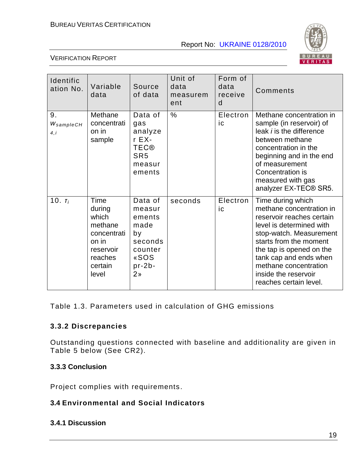

#### VERIFICATION REPORT

| Identific<br>ation No.  | Variable<br>data                                                                                       | Source<br>of data                                                                                     | Unit of<br>data<br>measurem<br>ent | Form of<br>data<br>receive<br>d | Comments                                                                                                                                                                                                                                                                                     |
|-------------------------|--------------------------------------------------------------------------------------------------------|-------------------------------------------------------------------------------------------------------|------------------------------------|---------------------------------|----------------------------------------------------------------------------------------------------------------------------------------------------------------------------------------------------------------------------------------------------------------------------------------------|
| 9.<br>WsampleCH<br>4, i | Methane<br>concentrati<br>on in<br>sample                                                              | Data of<br>gas<br>analyze<br>$r$ EX-<br><b>TEC®</b><br>SR <sub>5</sub><br>measur<br>ements            | $\%$                               | Electron<br>iс                  | Methane concentration in<br>sample (in reservoir) of<br>leak <i>i</i> is the difference<br>between methane<br>concentration in the<br>beginning and in the end<br>of measurement<br>Concentration is<br>measured with gas<br>analyzer EX-TEC® SR5.                                           |
| 10. $T_i$               | Time<br>during<br>which<br>methane<br>concentrati<br>on in<br>reservoir<br>reaches<br>certain<br>level | Data of<br>measur<br>ements<br>made<br>by<br>seconds<br>counter<br>«SOS<br>$pr-2b-$<br>2 <sub>n</sub> | seconds                            | Electron<br>ic                  | Time during which<br>methane concentration in<br>reservoir reaches certain<br>level is determined with<br>stop-watch. Measurement<br>starts from the moment<br>the tap is opened on the<br>tank cap and ends when<br>methane concentration<br>inside the reservoir<br>reaches certain level. |

Table 1.3. Parameters used in calculation of GHG emissions

#### **3.3.2 Discrepancies**

Outstanding questions connected with baseline and additionality are given in Table 5 below (See CR2).

#### **3.3.3 Conclusion**

Project complies with requirements.

#### **3.4 Environmental and Social Indicators**

#### **3.4.1 Discussion**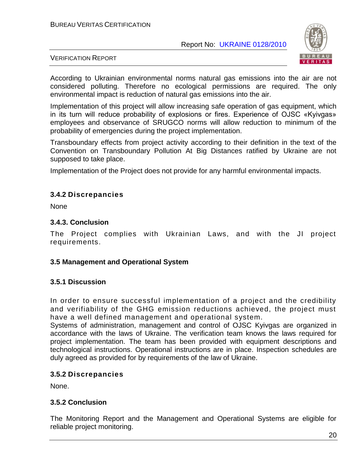

#### VERIFICATION REPORT

According to Ukrainian environmental norms natural gas emissions into the air are not considered polluting. Therefore no ecological permissions are required. The only environmental impact is reduction of natural gas emissions into the air.

Implementation of this project will allow increasing safe operation of gas equipment, which in its turn will reduce probability of explosions or fires. Experience of OJSC «Kyivgas» employees and observance of SRUGCO norms will allow reduction to minimum of the probability of emergencies during the project implementation.

Transboundary effects from project activity according to their definition in the text of the Convention on Transboundary Pollution At Big Distances ratified by Ukraine are not supposed to take place.

Implementation of the Project does not provide for any harmful environmental impacts.

#### **3.4.2 Discrepancies**

**None** 

#### **3.4.3. Conclusion**

The Project complies with Ukrainian Laws, and with the JI project requirements.

#### **3.5 Management and Operational System**

#### **3.5.1 Discussion**

In order to ensure successful implementation of a project and the credibility and verifiability of the GHG emission reductions achieved, the project must have a well defined management and operational system.

Systems of administration, management and control of OJSC Kyivgas are organized in accordance with the laws of Ukraine. The verification team knows the laws required for project implementation. The team has been provided with equipment descriptions and technological instructions. Operational instructions are in place. Inspection schedules are duly agreed as provided for by requirements of the law of Ukraine.

#### **3.5.2 Discrepancies**

None.

#### **3.5.2 Conclusion**

The Monitoring Report and the Management and Operational Systems are eligible for reliable project monitoring.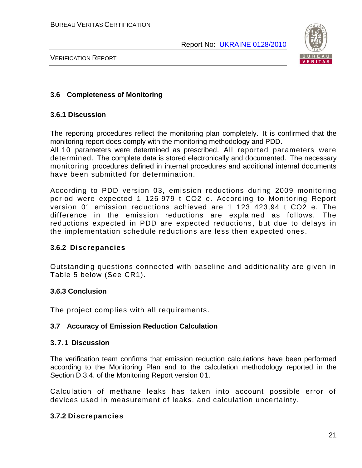

VERIFICATION REPORT

#### **3.6 Completeness of Monitoring**

#### **3.6.1 Discussion**

The reporting procedures reflect the monitoring plan completely. It is confirmed that the monitoring report does comply with the monitoring methodology and PDD.

All 10 parameters were determined as prescribed. All reported parameters were determined. The complete data is stored electronically and documented. The necessary monitoring procedures defined in internal procedures and additional internal documents have been submitted for determination.

According to PDD version 03, emission reductions during 2009 monitoring period were expected 1 126 979 t CO2 e. According to Monitoring Report version 01 emission reductions achieved are 1 123 423,94 t CO2 e. The difference in the emission reductions are explained as follows. The reductions expected in PDD are expected reductions, but due to delays in the implementation schedule reductions are less then expected ones .

#### **3.6.2 Discrepancies**

Outstanding questions connected with baseline and additionality are given in Table 5 below (See CR1).

#### **3.6.3 Conclusion**

The project complies with all requirements.

#### **3.7 Accuracy of Emission Reduction Calculation**

#### **3.7.1 Discussion**

The verification team confirms that emission reduction calculations have been performed according to the Monitoring Plan and to the calculation methodology reported in the Section D.3.4. of the Monitoring Report version 01.

Calculation of methane leaks has taken into account possible error of devices used in measurement of leaks, and calculation uncertainty.

#### **3.7.2 Discrepancies**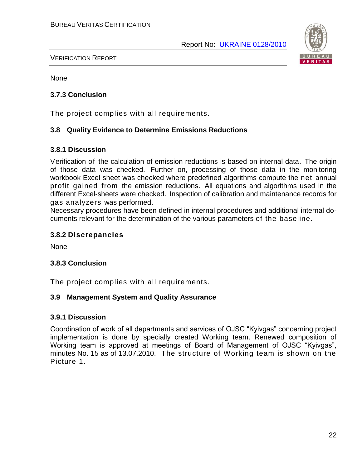

#### VERIFICATION REPORT

None

#### **3.7.3 Conclusion**

The project complies with all requirements.

#### **3.8 Quality Evidence to Determine Emissions Reductions**

#### **3.8.1 Discussion**

Verification of the calculation of emission reductions is based on internal data. The origin of those data was checked. Further on, processing of those data in the monitoring workbook Excel sheet was checked where predefined algorithms compute the net annual profit gained from the emission reductions. All equations and algorithms used in the different Excel-sheets were checked. Inspection of calibration and maintenance records for gas analyzers was performed.

Necessary procedures have been defined in internal procedures and additional internal documents relevant for the determination of the various parameters of the baseline.

#### **3.8.2 Discrepancies**

None

#### **3.8.3 Conclusion**

The project complies with all requirements.

#### **3.9 Management System and Quality Assurance**

#### **3.9.1 Discussion**

Coordination of work of all departments and services of OJSC "Kyivgas" concerning project implementation is done by specially created Working team. Renewed composition of Working team is approved at meetings of Board of Management of OJSC "Kyivgas", minutes No. 15 as of 13.07.2010. The structure of Working team is shown on the Picture 1.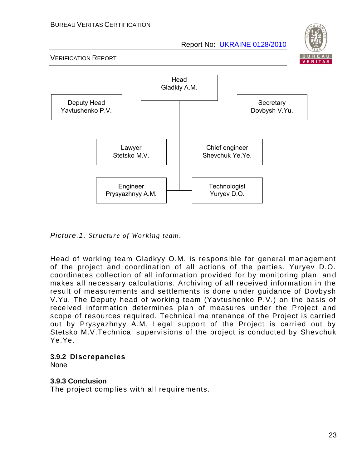



*Picture.1. Structure of Working team*.

Head of working team Gladkyy O.M. is responsible for general management of the project and coordination of all actions of the parties. Yuryev D.O. coordinates collection of all information provided for by monitoring plan, an d makes all necessary calculations. Archiving of all received information in the result of measurements and settlements is done under guidance of Dovbysh V.Yu. The Deputy head of working team (Yavtushenko P.V.) on the basis of received information determines plan of measures under the Project and scope of resources required. Technical maintenance of the Project is carried out by Prysyazhnyy A.M. Legal support of the Project is carried out by Stetsko M.V.Technical supervisions of the project is conducted by Shevchuk Ye.Ye.

#### **3.9.2 Discrepancies**

None

#### **3.9.3 Conclusion**

The project complies with all requirements.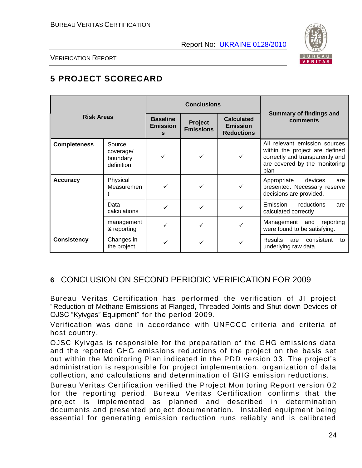

VERIFICATION REPORT

#### **5 PROJECT SCORECARD**

|                     |                                               |                                         | <b>Conclusions</b>          |                                                           |                                                                                                                                             |
|---------------------|-----------------------------------------------|-----------------------------------------|-----------------------------|-----------------------------------------------------------|---------------------------------------------------------------------------------------------------------------------------------------------|
| <b>Risk Areas</b>   |                                               | <b>Baseline</b><br><b>Emission</b><br>s | Project<br><b>Emissions</b> | <b>Calculated</b><br><b>Emission</b><br><b>Reductions</b> | Summary of findings and<br>comments                                                                                                         |
| <b>Completeness</b> | Source<br>coverage/<br>boundary<br>definition | ✓                                       |                             |                                                           | All relevant emission sources<br>within the project are defined<br>correctly and transparently and<br>are covered by the monitoring<br>plan |
| <b>Accuracy</b>     | Physical<br>Measuremen                        |                                         |                             |                                                           | Appropriate<br>devices<br>are<br>presented. Necessary reserve<br>decisions are provided.                                                    |
|                     | Data<br>calculations                          |                                         |                             |                                                           | Emission<br>reductions<br>are<br>calculated correctly                                                                                       |
|                     | management<br>& reporting                     |                                         |                             |                                                           | Management and<br>reporting<br>were found to be satisfying.                                                                                 |
| <b>Consistency</b>  | Changes in<br>the project                     |                                         |                             |                                                           | <b>Results</b><br>consistent<br>are<br>to<br>underlying raw data.                                                                           |

#### **6** CONCLUSION ON SECOND PERIODIC VERIFICATION FOR 2009

Bureau Veritas Certification has performed the verification of JI project "Reduction of Methane Emissions at Flanged, Threaded Joints and Shut-down Devices of OJSC "Kyivgas" Equipment" for the period 2009.

Verification was done in accordance with UNFCCC criteria and criteria of host country.

OJSC Kyivgas is responsible for the preparation of the GHG emissions data and the reported GHG emissions reductions of the project on the basis set out within the Monitoring Plan indicated in the PDD version 03. The project's administration is responsible for project implementation, organization of data collection, and calculations and determination of GHG emission reductions.

Bureau Veritas Certification verified the Project Monitoring Report version 0 2 for the reporting period. Bureau Veritas Certification confirms that the project is implemented as planned and described in determination documents and presented project documentation. Installed equipment being essential for generating emission reduction runs reliably and is calibrated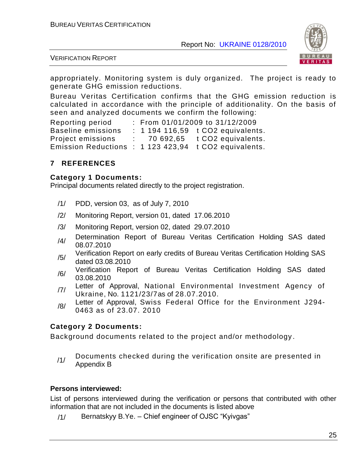

VERIFICATION REPORT

appropriately. Monitoring system is duly organized. The project is ready to generate GHG emission reductions.

Bureau Veritas Certification confirms that the GHG emission reduction is calculated in accordance with the principle of additionality. On the basis of seen and analyzed documents we confirm the following:

Reporting period : From 01/01/2009 to 31/12/2009 Baseline emissions : 1 194 116.59 t CO2 equivalents. Project emissions : 70 692,65 t CO2 equivalents. Emission Reductions : 1 123 423,94 t CO2 equivalents.

#### **7 REFERENCES**

#### **Category 1 Documents:**

Principal documents related directly to the project registration.

- /1/ PDD, version 03, as of July 7, 2010
- /2/ Monitoring Report, version 01, dated 17.06.2010
- /3/ Monitoring Report, version 02, dated 29.07.2010
- /4/ Determination Report of Bureau Veritas Certification Holding SAS dated 08.07.2010
- /5/ Verification Report on early credits of Bureau Veritas Certification Holding SAS dated 03.08.2010
- /6/ Verification Report of Bureau Veritas Certification Holding SAS dated 03.08.2010
- /7/ Letter of Approval, National Environmental Investment Agency of Ukraine, No. 1121/23/7as of 28.07.2010.
- /8/ Letter of Approval, Swiss Federal Office for the Environment J294-0463 as of 23.07. 2010

#### **Category 2 Documents:**

Background documents related to the project and/or methodology .

/1/ Documents checked during the verification onsite are presented in Appendix B

#### **Persons interviewed:**

List of persons interviewed during the verification or persons that contributed with other information that are not included in the documents is listed above

/1/ Bernatskyy B.Ye. – Chief engineer of OJSC "Kyivgas"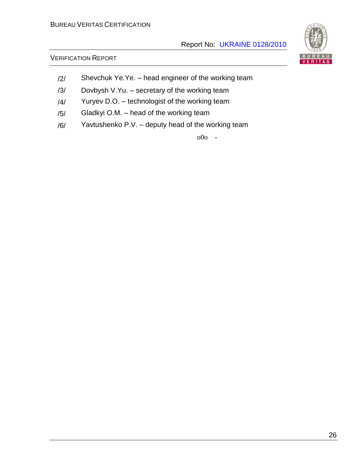# VERITAS

#### VERIFICATION REPORT

- /2/ Shevchuk Ye.Ye. head engineer of the working team
- /3/ Dovbysh V.Yu. secretary of the working team
- /4/ Yuryev D.O. technologist of the working team
- /5/ Gladkyi O.M. head of the working team
- /6/ Yavtushenko P.V. deputy head of the working team

o0o -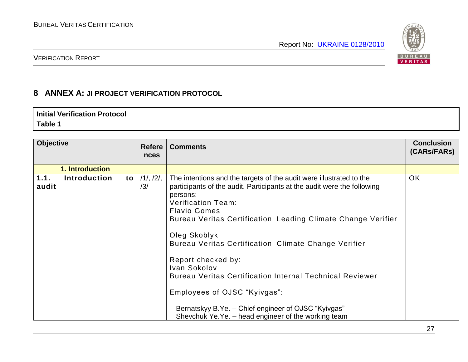

#### VERIFICATION REPORT

#### **8 ANNEX A: JI PROJECT VERIFICATION PROTOCOL**

#### **Initial Verification Protocol Table 1**

| <b>Objective</b> |                     |    | <b>Refere</b><br><b>nces</b> | <b>Comments</b>                                                                                                                                                                                                                                                                                                                                                                                                                                                                                                                                                                                               | <b>Conclusion</b><br>(CARs/FARs) |
|------------------|---------------------|----|------------------------------|---------------------------------------------------------------------------------------------------------------------------------------------------------------------------------------------------------------------------------------------------------------------------------------------------------------------------------------------------------------------------------------------------------------------------------------------------------------------------------------------------------------------------------------------------------------------------------------------------------------|----------------------------------|
|                  | 1. Introduction     |    |                              |                                                                                                                                                                                                                                                                                                                                                                                                                                                                                                                                                                                                               |                                  |
| 1.1.<br>audit    | <b>Introduction</b> | to | 11, 121,<br>/3/              | The intentions and the targets of the audit were illustrated to the<br>participants of the audit. Participants at the audit were the following<br>persons:<br><b>Verification Team:</b><br><b>Flavio Gomes</b><br>Bureau Veritas Certification Leading Climate Change Verifier<br>Oleg Skoblyk<br>Bureau Veritas Certification Climate Change Verifier<br>Report checked by:<br>Ivan Sokolov<br><b>Bureau Veritas Certification Internal Technical Reviewer</b><br>Employees of OJSC "Kyivgas":<br>Bernatskyy B.Ye. - Chief engineer of OJSC "Kyivgas"<br>Shevchuk Ye.Ye. – head engineer of the working team | <b>OK</b>                        |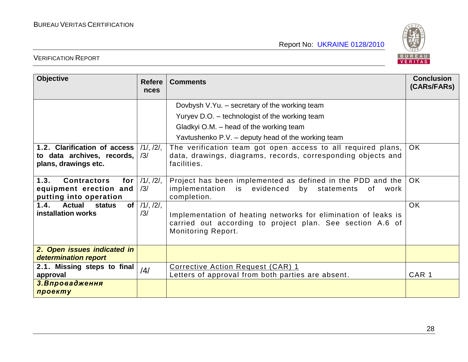

| <b>Objective</b>                                                                      | <b>Refere</b><br>nces       | <b>Comments</b>                                                                                                                                          | <b>Conclusion</b><br>(CARs/FARs) |
|---------------------------------------------------------------------------------------|-----------------------------|----------------------------------------------------------------------------------------------------------------------------------------------------------|----------------------------------|
|                                                                                       |                             | Dovbysh V.Yu. - secretary of the working team                                                                                                            |                                  |
|                                                                                       |                             | Yuryev D.O. - technologist of the working team                                                                                                           |                                  |
|                                                                                       |                             | Gladkyi O.M. – head of the working team                                                                                                                  |                                  |
|                                                                                       |                             | Yavtushenko P.V. – deputy head of the working team                                                                                                       |                                  |
| 1.2. Clarification of access<br>to data archives, records,<br>plans, drawings etc.    | 11, 121,<br>/3/             | The verification team got open access to all required plans,<br>data, drawings, diagrams, records, corresponding objects and<br>facilities.              | <b>OK</b>                        |
| 1.3.<br><b>Contractors</b><br>for<br>equipment erection and<br>putting into operation | 11, 121,<br>/3/             | Project has been implemented as defined in the PDD and the<br>implementation is evidenced<br>by statements<br>0f<br>work<br>completion.                  | OK.                              |
| 1.4.<br><b>Actual</b><br>of <sub>l</sub><br><b>status</b><br>installation works       | $11, 12\overline{1}$<br>/3/ | Implementation of heating networks for elimination of leaks is<br>carried out according to project plan. See section A.6 of<br><b>Monitoring Report.</b> | <b>OK</b>                        |
| 2. Open issues indicated in<br>determination report                                   |                             |                                                                                                                                                          |                                  |
| 2.1. Missing steps to final<br>approval                                               | /4/                         | Corrective Action Request (CAR) 1<br>Letters of approval from both parties are absent.                                                                   | CAR <sub>1</sub>                 |
| 3. Впровадження<br>проекту                                                            |                             |                                                                                                                                                          |                                  |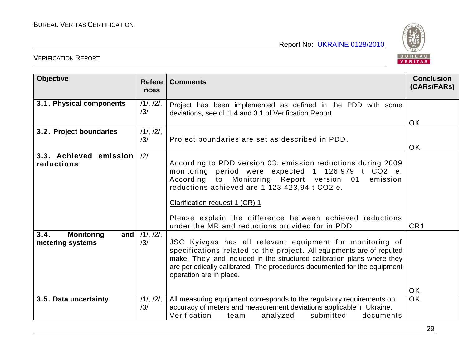

| <b>Objective</b>                                     | <b>Refere</b><br>nces | <b>Comments</b>                                                                                                                                                                                                                                                                                                                                                      | <b>Conclusion</b><br>(CARS/FARS) |
|------------------------------------------------------|-----------------------|----------------------------------------------------------------------------------------------------------------------------------------------------------------------------------------------------------------------------------------------------------------------------------------------------------------------------------------------------------------------|----------------------------------|
| 3.1. Physical components                             | 11, 121,<br>/3/       | Project has been implemented as defined in the PDD with some<br>deviations, see cl. 1.4 and 3.1 of Verification Report                                                                                                                                                                                                                                               |                                  |
| 3.2. Project boundaries                              | 11, 121,<br>/3/       | Project boundaries are set as described in PDD.                                                                                                                                                                                                                                                                                                                      | <b>OK</b><br><b>OK</b>           |
| 3.3. Achieved emission<br>reductions                 | /2/                   | According to PDD version 03, emission reductions during 2009<br>monitoring period were expected 1 126 979 t CO2 e.<br>Monitoring Report version 01<br>According<br>to<br>emission<br>reductions achieved are 1 123 423,94 t CO2 e.<br>Clarification request 1 (CR) 1<br>Please explain the difference between achieved reductions                                    |                                  |
| 3.4.<br><b>Monitoring</b><br>and<br>metering systems | 11, 121,<br>/3/       | under the MR and reductions provided for in PDD<br>JSC Kyivgas has all relevant equipment for monitoring of<br>specifications related to the project. All equipments are of reputed<br>make. They and included in the structured calibration plans where they<br>are periodically calibrated. The procedures documented for the equipment<br>operation are in place. | CR <sub>1</sub><br><b>OK</b>     |
| 3.5. Data uncertainty                                | 11, 121,<br>/3/       | All measuring equipment corresponds to the regulatory requirements on<br>accuracy of meters and measurement deviations applicable in Ukraine.<br>Verification<br>submitted<br>analyzed<br>documents<br>team                                                                                                                                                          | <b>OK</b>                        |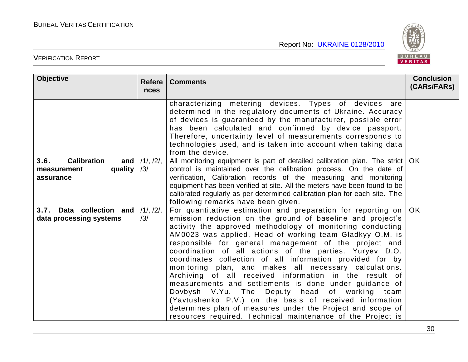

| <b>Objective</b>                                                             | <b>Refere</b><br><b>nces</b> | <b>Comments</b>                                                                                                                                                                                                                                                                                                                                                                                                                                                                                                                                                                                                                                                                                                                                                                                                                                              | <b>Conclusion</b><br>(CARs/FARs) |
|------------------------------------------------------------------------------|------------------------------|--------------------------------------------------------------------------------------------------------------------------------------------------------------------------------------------------------------------------------------------------------------------------------------------------------------------------------------------------------------------------------------------------------------------------------------------------------------------------------------------------------------------------------------------------------------------------------------------------------------------------------------------------------------------------------------------------------------------------------------------------------------------------------------------------------------------------------------------------------------|----------------------------------|
|                                                                              |                              | characterizing metering devices. Types of devices are<br>determined in the regulatory documents of Ukraine. Accuracy<br>of devices is guaranteed by the manufacturer, possible error<br>has been calculated and confirmed by device passport.<br>Therefore, uncertainty level of measurements corresponds to<br>technologies used, and is taken into account when taking data<br>from the device.                                                                                                                                                                                                                                                                                                                                                                                                                                                            |                                  |
| <b>Calibration</b><br>3.6.<br>and $ $<br>quality<br>measurement<br>assurance | $/1/$ , $/2/$ ,<br>/3/       | All monitoring equipment is part of detailed calibration plan. The strict   OK<br>control is maintained over the calibration process. On the date of<br>verification, Calibration records of the measuring and monitoring<br>equipment has been verified at site. All the meters have been found to be<br>calibrated regularly as per determined calibration plan for each site. The<br>following remarks have been given.                                                                                                                                                                                                                                                                                                                                                                                                                                   |                                  |
| 3.7. Data collection and<br>data processing systems                          | 11, 121,<br>/3/              | For quantitative estimation and preparation for reporting on<br>emission reduction on the ground of baseline and project's<br>activity the approved methodology of monitoring conducting<br>AM0023 was applied. Head of working team Gladkyy O.M. is<br>responsible for general management of the project and<br>coordination of all actions of the parties. Yuryev D.O.<br>coordinates collection of all information provided for by<br>monitoring plan, and makes all necessary calculations.<br>Archiving of all received information in the result of<br>measurements and settlements is done under guidance of<br>Dovbysh V.Yu. The Deputy head of working team<br>(Yavtushenko P.V.) on the basis of received information<br>determines plan of measures under the Project and scope of<br>resources required. Technical maintenance of the Project is | OK                               |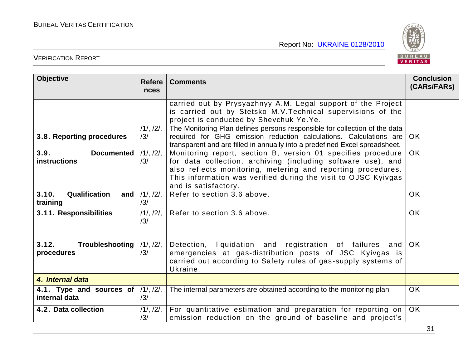

| <b>Objective</b>                                 | <b>Refere</b><br>nces | <b>Comments</b>                                                                                                                                                                                                                                                                        | <b>Conclusion</b><br>(CARs/FARs) |
|--------------------------------------------------|-----------------------|----------------------------------------------------------------------------------------------------------------------------------------------------------------------------------------------------------------------------------------------------------------------------------------|----------------------------------|
|                                                  |                       | carried out by Prysyazhnyy A.M. Legal support of the Project<br>is carried out by Stetsko M.V. Technical supervisions of the<br>project is conducted by Shevchuk Ye.Ye.                                                                                                                |                                  |
| 3.8. Reporting procedures                        | 11, 121,<br>/3/       | The Monitoring Plan defines persons responsible for collection of the data<br>required for GHG emission reduction calculations. Calculations are<br>transparent and are filled in annually into a predefined Excel spreadsheet.                                                        | OK.                              |
| 3.9.<br><b>Documented</b><br><b>instructions</b> | 11, 121,<br>/3/       | Monitoring report, section B, version 01 specifies procedure<br>for data collection, archiving (including software use), and<br>also reflects monitoring, metering and reporting procedures.<br>This information was verified during the visit to OJSC Kyivgas<br>and is satisfactory. | OK.                              |
| 3.10.<br>Qualification<br>and<br>training        | 11, 121,<br>/3/       | Refer to section 3.6 above.                                                                                                                                                                                                                                                            | <b>OK</b>                        |
| 3.11. Responsibilities                           | 11, 121,<br>/3/       | Refer to section 3.6 above.                                                                                                                                                                                                                                                            | <b>OK</b>                        |
| 3.12.<br>Troubleshooting<br>procedures           | 11, 121,<br>/3/       | Detection, liquidation and registration of failures<br>and<br>emergencies at gas-distribution posts of JSC Kyivgas is<br>carried out according to Safety rules of gas-supply systems of<br>Ukraine.                                                                                    | <b>OK</b>                        |
| 4. Internal data                                 |                       |                                                                                                                                                                                                                                                                                        |                                  |
| 4.1. Type and sources of<br>internal data        | 11, 121,<br>/3/       | The internal parameters are obtained according to the monitoring plan                                                                                                                                                                                                                  | <b>OK</b>                        |
| 4.2. Data collection                             | 11, 121,<br>/3/       | For quantitative estimation and preparation for reporting on<br>emission reduction on the ground of baseline and project's                                                                                                                                                             | OK                               |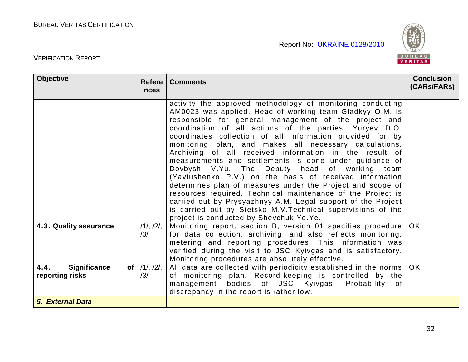

| <b>Objective</b>                                                  | <b>Refere</b><br><b>nces</b> | <b>Comments</b>                                                                                                                                                                                                                                                                                                                                                                                                                                                                                                                                                                                                                                                                                                                                                                                                                                                                                           | <b>Conclusion</b><br>(CARs/FARs) |
|-------------------------------------------------------------------|------------------------------|-----------------------------------------------------------------------------------------------------------------------------------------------------------------------------------------------------------------------------------------------------------------------------------------------------------------------------------------------------------------------------------------------------------------------------------------------------------------------------------------------------------------------------------------------------------------------------------------------------------------------------------------------------------------------------------------------------------------------------------------------------------------------------------------------------------------------------------------------------------------------------------------------------------|----------------------------------|
|                                                                   |                              | activity the approved methodology of monitoring conducting<br>AM0023 was applied. Head of working team Gladkyy O.M. is<br>responsible for general management of the project and<br>coordination of all actions of the parties. Yuryev D.O.<br>coordinates collection of all information provided for by<br>monitoring plan, and makes all necessary calculations.<br>Archiving of all received information in the result of<br>measurements and settlements is done under guidance of<br>Dovbysh V.Yu. The Deputy head of working team<br>(Yavtushenko P.V.) on the basis of received information<br>determines plan of measures under the Project and scope of<br>resources required. Technical maintenance of the Project is<br>carried out by Prysyazhnyy A.M. Legal support of the Project<br>is carried out by Stetsko M.V. Technical supervisions of the<br>project is conducted by Shevchuk Ye.Ye. |                                  |
| 4.3. Quality assurance                                            | 11, 121,<br>/3/              | Monitoring report, section B, version 01 specifies procedure<br>for data collection, archiving, and also reflects monitoring,<br>metering and reporting procedures. This information was<br>verified during the visit to JSC Kyivgas and is satisfactory.<br>Monitoring procedures are absolutely effective.                                                                                                                                                                                                                                                                                                                                                                                                                                                                                                                                                                                              | <b>OK</b>                        |
| <b>Significance</b><br>4.4.<br>of <sub>l</sub><br>reporting risks | 11, 121,<br>/3/              | All data are collected with periodicity established in the norms<br>of monitoring plan. Record-keeping is controlled by the<br>management bodies of JSC Kyivgas. Probability of<br>discrepancy in the report is rather low.                                                                                                                                                                                                                                                                                                                                                                                                                                                                                                                                                                                                                                                                               | OK.                              |
| 5. External Data                                                  |                              |                                                                                                                                                                                                                                                                                                                                                                                                                                                                                                                                                                                                                                                                                                                                                                                                                                                                                                           |                                  |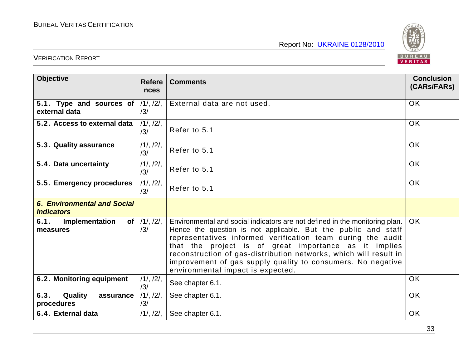

| <b>Objective</b>                                        | <b>Refere</b><br><b>nces</b> | <b>Comments</b>                                                                                                                                                                                                                                                                                                                                                                                                                                | <b>Conclusion</b><br>(CARs/FARs) |
|---------------------------------------------------------|------------------------------|------------------------------------------------------------------------------------------------------------------------------------------------------------------------------------------------------------------------------------------------------------------------------------------------------------------------------------------------------------------------------------------------------------------------------------------------|----------------------------------|
| 5.1. Type and sources of<br>external data               | 11, 121,<br>/3/              | External data are not used.                                                                                                                                                                                                                                                                                                                                                                                                                    | <b>OK</b>                        |
| 5.2. Access to external data                            | 11, 121,<br>/3/              | Refer to 5.1                                                                                                                                                                                                                                                                                                                                                                                                                                   | OK                               |
| 5.3. Quality assurance                                  | 11, 121,<br>/3/              | Refer to 5.1                                                                                                                                                                                                                                                                                                                                                                                                                                   | <b>OK</b>                        |
| 5.4. Data uncertainty                                   | 11, 121,<br>/3/              | Refer to 5.1                                                                                                                                                                                                                                                                                                                                                                                                                                   | <b>OK</b>                        |
| 5.5. Emergency procedures                               | 11, 121,<br>/3/              | Refer to 5.1                                                                                                                                                                                                                                                                                                                                                                                                                                   | OK                               |
| <b>6. Environmental and Social</b><br><b>Indicators</b> |                              |                                                                                                                                                                                                                                                                                                                                                                                                                                                |                                  |
| 6.1.<br>Implementation<br>of <sub>l</sub><br>measures   | $/1/$ , $/2/$ ,<br>/3/       | Environmental and social indicators are not defined in the monitoring plan.<br>Hence the question is not applicable. But the public and staff<br>representatives informed verification team during the audit<br>that the project is of great importance as it implies<br>reconstruction of gas-distribution networks, which will result in<br>improvement of gas supply quality to consumers. No negative<br>environmental impact is expected. | OK.                              |
| 6.2. Monitoring equipment                               | 11, 121,<br>/3/              | See chapter 6.1.                                                                                                                                                                                                                                                                                                                                                                                                                               | <b>OK</b>                        |
| 6.3.<br>Quality<br>assurance<br>procedures              | 11, 121,<br>/3/              | See chapter 6.1.                                                                                                                                                                                                                                                                                                                                                                                                                               | <b>OK</b>                        |
| 6.4. External data                                      | 11, 121,                     | See chapter 6.1.                                                                                                                                                                                                                                                                                                                                                                                                                               | <b>OK</b>                        |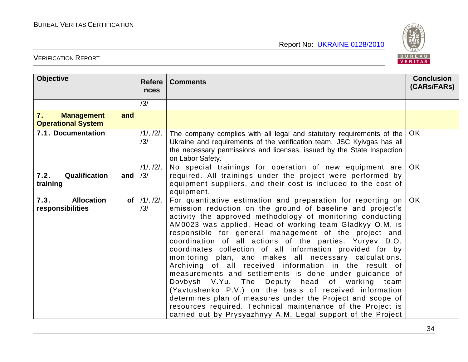

| <b>Objective</b>                                            | <b>Refere</b><br>nces     | <b>Comments</b>                                                                                                                                                                                                                                                                                                                                                                                                                                                                                                                                                                                                                                                                                                                                                                                                                                                                                                                 | <b>Conclusion</b><br>(CARs/FARs) |
|-------------------------------------------------------------|---------------------------|---------------------------------------------------------------------------------------------------------------------------------------------------------------------------------------------------------------------------------------------------------------------------------------------------------------------------------------------------------------------------------------------------------------------------------------------------------------------------------------------------------------------------------------------------------------------------------------------------------------------------------------------------------------------------------------------------------------------------------------------------------------------------------------------------------------------------------------------------------------------------------------------------------------------------------|----------------------------------|
|                                                             | /3/                       |                                                                                                                                                                                                                                                                                                                                                                                                                                                                                                                                                                                                                                                                                                                                                                                                                                                                                                                                 |                                  |
| 7.<br>and<br><b>Management</b><br><b>Operational System</b> |                           |                                                                                                                                                                                                                                                                                                                                                                                                                                                                                                                                                                                                                                                                                                                                                                                                                                                                                                                                 |                                  |
| 7.1. Documentation                                          | 11, 121,<br>/3/           | The company complies with all legal and statutory requirements of the<br>Ukraine and requirements of the verification team. JSC Kyivgas has all<br>the necessary permissions and licenses, issued by the State Inspection<br>on Labor Safety.                                                                                                                                                                                                                                                                                                                                                                                                                                                                                                                                                                                                                                                                                   | OK                               |
| Qualification<br>7.2.<br>and<br>training                    | 11, 121,<br>/3/           | No special trainings for operation of new equipment are<br>required. All trainings under the project were performed by<br>equipment suppliers, and their cost is included to the cost of<br>equipment.                                                                                                                                                                                                                                                                                                                                                                                                                                                                                                                                                                                                                                                                                                                          | <b>OK</b>                        |
| <b>Allocation</b><br>7.3.<br>responsibilities               | of $/1/$ , $/2/$ ,<br>/3/ | For quantitative estimation and preparation for reporting on<br>emission reduction on the ground of baseline and project's<br>activity the approved methodology of monitoring conducting<br>AM0023 was applied. Head of working team Gladkyy O.M. is<br>responsible for general management of the project and<br>coordination of all actions of the parties. Yuryev D.O.<br>coordinates collection of all information provided for by<br>monitoring plan, and makes all necessary calculations.<br>Archiving of all received information in the result of<br>measurements and settlements is done under guidance of<br>Dovbysh V.Yu. The Deputy head of working<br>team<br>(Yavtushenko P.V.) on the basis of received information<br>determines plan of measures under the Project and scope of<br>resources required. Technical maintenance of the Project is<br>carried out by Prysyazhnyy A.M. Legal support of the Project | OK.                              |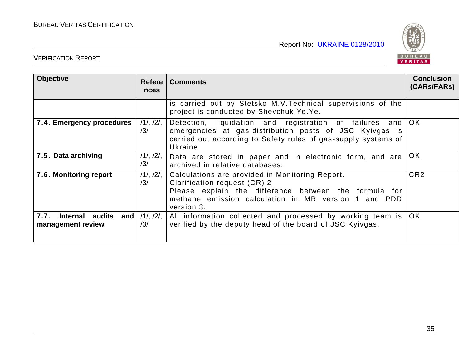

| <b>Objective</b>                                    | <b>Refere</b><br><b>nces</b> | <b>Comments</b>                                                                                                                                                                                                | <b>Conclusion</b><br>(CARs/FARs) |
|-----------------------------------------------------|------------------------------|----------------------------------------------------------------------------------------------------------------------------------------------------------------------------------------------------------------|----------------------------------|
|                                                     |                              | is carried out by Stetsko M.V. Technical supervisions of the<br>project is conducted by Shevchuk Ye.Ye.                                                                                                        |                                  |
| 7.4. Emergency procedures                           | $/1/$ , $/2/$ ,<br>/3/       | Detection, liquidation and registration of failures<br>and  <br>emergencies at gas-distribution posts of JSC Kyivgas is<br>carried out according to Safety rules of gas-supply systems of<br>Ukraine.          | OK.                              |
| 7.5. Data archiving                                 | $/1/$ , $/2/$ ,<br>/3/       | Data are stored in paper and in electronic form, and are<br>archived in relative databases.                                                                                                                    |                                  |
| 7.6. Monitoring report<br>$/1/$ , $/2/$ ,<br>/3/    |                              | Calculations are provided in Monitoring Report.<br>Clarification request (CR) 2<br>Please explain the difference between the formula for<br>methane emission calculation in MR version 1 and PDD<br>version 3. | CR <sub>2</sub>                  |
| 7.7.<br>Internal audits<br>and<br>management review | $/1/$ , $/2/$ ,<br>/3/       | All information collected and processed by working team is<br>verified by the deputy head of the board of JSC Kyivgas.                                                                                         | OK.                              |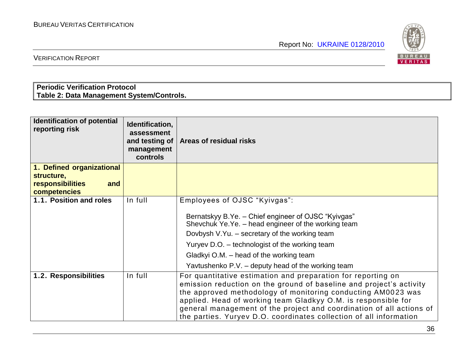

VERIFICATION REPORT

#### **Periodic Verification Protocol Table 2: Data Management System/Controls.**

| <b>Identification of potential</b><br>reporting risk | Identification,<br>assessment<br>and testing of<br>management<br>controls | Areas of residual risks                                                                                                                                                                                                                                                                                                                                                                                            |
|------------------------------------------------------|---------------------------------------------------------------------------|--------------------------------------------------------------------------------------------------------------------------------------------------------------------------------------------------------------------------------------------------------------------------------------------------------------------------------------------------------------------------------------------------------------------|
| 1. Defined organizational                            |                                                                           |                                                                                                                                                                                                                                                                                                                                                                                                                    |
| structure,<br>responsibilities<br>and                |                                                                           |                                                                                                                                                                                                                                                                                                                                                                                                                    |
| competencies                                         |                                                                           |                                                                                                                                                                                                                                                                                                                                                                                                                    |
| 1.1. Position and roles                              | In full                                                                   | Employees of OJSC "Kyivgas":                                                                                                                                                                                                                                                                                                                                                                                       |
|                                                      |                                                                           | Bernatskyy B.Ye. - Chief engineer of OJSC "Kyivgas"<br>Shevchuk Ye.Ye. – head engineer of the working team<br>Dovbysh V.Yu. - secretary of the working team<br>Yuryev D.O. - technologist of the working team<br>Gladkyi O.M. – head of the working team<br>Yavtushenko P.V. - deputy head of the working team                                                                                                     |
| 1.2. Responsibilities                                | In full                                                                   | For quantitative estimation and preparation for reporting on<br>emission reduction on the ground of baseline and project's activity<br>the approved methodology of monitoring conducting AM0023 was<br>applied. Head of working team Gladkyy O.M. is responsible for<br>general management of the project and coordination of all actions of<br>the parties. Yuryev D.O. coordinates collection of all information |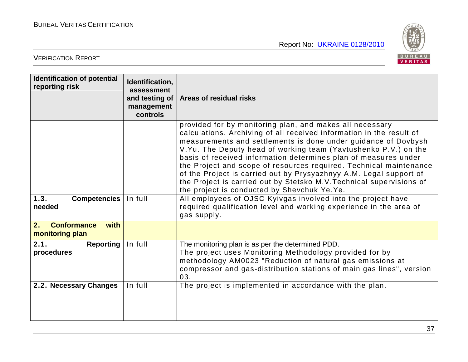

| <b>Identification of potential</b><br>reporting risk | Identification,<br>assessment<br>and testing of<br>management<br>controls | Areas of residual risks                                                                                                                                                                                                                                                                                                                                                                                                                                                                                                                                                                                      |
|------------------------------------------------------|---------------------------------------------------------------------------|--------------------------------------------------------------------------------------------------------------------------------------------------------------------------------------------------------------------------------------------------------------------------------------------------------------------------------------------------------------------------------------------------------------------------------------------------------------------------------------------------------------------------------------------------------------------------------------------------------------|
|                                                      |                                                                           | provided for by monitoring plan, and makes all necessary<br>calculations. Archiving of all received information in the result of<br>measurements and settlements is done under guidance of Dovbysh<br>V. Yu. The Deputy head of working team (Yavtushenko P.V.) on the<br>basis of received information determines plan of measures under<br>the Project and scope of resources required. Technical maintenance<br>of the Project is carried out by Prysyazhnyy A.M. Legal support of<br>the Project is carried out by Stetsko M.V. Technical supervisions of<br>the project is conducted by Shevchuk Ye.Ye. |
| 1.3.<br><b>Competencies</b><br>needed                | In full                                                                   | All employees of OJSC Kyivgas involved into the project have<br>required qualification level and working experience in the area of<br>gas supply.                                                                                                                                                                                                                                                                                                                                                                                                                                                            |
| <b>Conformance</b><br>2.<br>with<br>monitoring plan  |                                                                           |                                                                                                                                                                                                                                                                                                                                                                                                                                                                                                                                                                                                              |
| 2.1.<br><b>Reporting</b><br>procedures               | In full                                                                   | The monitoring plan is as per the determined PDD.<br>The project uses Monitoring Methodology provided for by<br>methodology AM0023 "Reduction of natural gas emissions at<br>compressor and gas-distribution stations of main gas lines", version<br>03.                                                                                                                                                                                                                                                                                                                                                     |
| 2.2. Necessary Changes                               | In full                                                                   | The project is implemented in accordance with the plan.                                                                                                                                                                                                                                                                                                                                                                                                                                                                                                                                                      |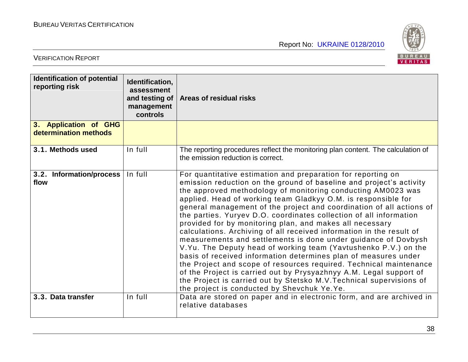

| <b>Identification of potential</b><br>reporting risk | Identification,<br>assessment<br>management<br>controls | and testing of   Areas of residual risks                                                                                                                                                                                                                                                                                                                                                                                                                                                                                                                                                                                                                                                                                                                                                                                                                                                                                                                                                                                          |  |
|------------------------------------------------------|---------------------------------------------------------|-----------------------------------------------------------------------------------------------------------------------------------------------------------------------------------------------------------------------------------------------------------------------------------------------------------------------------------------------------------------------------------------------------------------------------------------------------------------------------------------------------------------------------------------------------------------------------------------------------------------------------------------------------------------------------------------------------------------------------------------------------------------------------------------------------------------------------------------------------------------------------------------------------------------------------------------------------------------------------------------------------------------------------------|--|
| 3. Application of GHG<br>determination methods       |                                                         |                                                                                                                                                                                                                                                                                                                                                                                                                                                                                                                                                                                                                                                                                                                                                                                                                                                                                                                                                                                                                                   |  |
| 3.1. Methods used                                    | In full                                                 | The reporting procedures reflect the monitoring plan content. The calculation of<br>the emission reduction is correct.                                                                                                                                                                                                                                                                                                                                                                                                                                                                                                                                                                                                                                                                                                                                                                                                                                                                                                            |  |
| 3.2. Information/process<br>flow                     | In full                                                 | For quantitative estimation and preparation for reporting on<br>emission reduction on the ground of baseline and project's activity<br>the approved methodology of monitoring conducting AM0023 was<br>applied. Head of working team Gladkyy O.M. is responsible for<br>general management of the project and coordination of all actions of<br>the parties. Yuryev D.O. coordinates collection of all information<br>provided for by monitoring plan, and makes all necessary<br>calculations. Archiving of all received information in the result of<br>measurements and settlements is done under guidance of Dovbysh<br>V.Yu. The Deputy head of working team (Yavtushenko P.V.) on the<br>basis of received information determines plan of measures under<br>the Project and scope of resources required. Technical maintenance<br>of the Project is carried out by Prysyazhnyy A.M. Legal support of<br>the Project is carried out by Stetsko M.V. Technical supervisions of<br>the project is conducted by Shevchuk Ye.Ye. |  |
| 3.3. Data transfer                                   | In full                                                 | Data are stored on paper and in electronic form, and are archived in<br>relative databases                                                                                                                                                                                                                                                                                                                                                                                                                                                                                                                                                                                                                                                                                                                                                                                                                                                                                                                                        |  |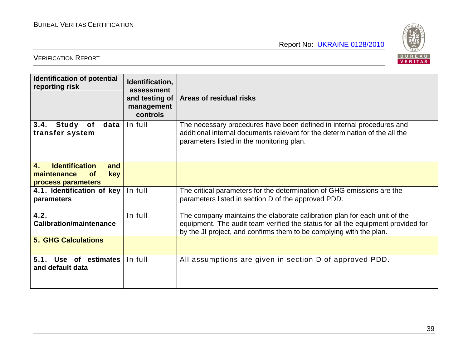

| <b>Identification of potential</b><br>reporting risk                                                             | Identification,<br>assessment<br>and testing of<br>management<br><b>controls</b> | Areas of residual risks                                                                                                                                                                                                              |  |
|------------------------------------------------------------------------------------------------------------------|----------------------------------------------------------------------------------|--------------------------------------------------------------------------------------------------------------------------------------------------------------------------------------------------------------------------------------|--|
| In full<br>3.4.<br>Study<br>data<br>of<br>transfer system                                                        |                                                                                  | The necessary procedures have been defined in internal procedures and<br>additional internal documents relevant for the determination of the all the<br>parameters listed in the monitoring plan.                                    |  |
| <b>Identification</b><br>$\overline{4}$ .<br>and<br>maintenance<br><b>key</b><br><b>of</b><br>process parameters |                                                                                  |                                                                                                                                                                                                                                      |  |
| 4.1. Identification of key<br>parameters                                                                         | In full                                                                          | The critical parameters for the determination of GHG emissions are the<br>parameters listed in section D of the approved PDD.                                                                                                        |  |
| 4.2.<br><b>Calibration/maintenance</b>                                                                           | In full                                                                          | The company maintains the elaborate calibration plan for each unit of the<br>equipment. The audit team verified the status for all the equipment provided for<br>by the JI project, and confirms them to be complying with the plan. |  |
| <b>5. GHG Calculations</b>                                                                                       |                                                                                  |                                                                                                                                                                                                                                      |  |
| 5.1.<br>Use of estimates<br>and default data                                                                     | In full                                                                          | All assumptions are given in section D of approved PDD.                                                                                                                                                                              |  |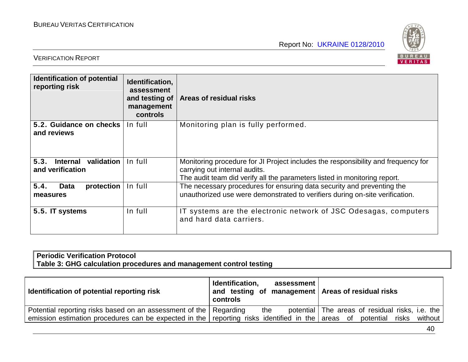

#### VERIFICATION REPORT

| Identification of potential<br>Identification,<br>reporting risk<br>assessment<br>and testing of<br>management<br><b>controls</b> |         | Areas of residual risks                                                                                                                                                                         |  |
|-----------------------------------------------------------------------------------------------------------------------------------|---------|-------------------------------------------------------------------------------------------------------------------------------------------------------------------------------------------------|--|
| 5.2. Guidance on checks<br>and reviews                                                                                            | In full | Monitoring plan is fully performed.                                                                                                                                                             |  |
| 5.3.<br>validation<br><b>Internal</b><br>and verification                                                                         | In full | Monitoring procedure for JI Project includes the responsibility and frequency for<br>carrying out internal audits.<br>The audit team did verify all the parameters listed in monitoring report. |  |
| 5.4.<br>protection<br><b>Data</b><br>measures                                                                                     | In full | The necessary procedures for ensuring data security and preventing the<br>unauthorized use were demonstrated to verifiers during on-site verification.                                          |  |
| 5.5. IT systems                                                                                                                   | In full | IT systems are the electronic network of JSC Odesagas, computers<br>and hard data carriers.                                                                                                     |  |

#### **Periodic Verification Protocol Table 3: GHG calculation procedures and management control testing**

| Identification of potential reporting risk                                                       | Identification,<br>assessment<br>and testing of management Areas of residual risks<br>controls |                                                 |  |
|--------------------------------------------------------------------------------------------------|------------------------------------------------------------------------------------------------|-------------------------------------------------|--|
| Potential reporting risks based on an assessment of the   Regarding                              | the                                                                                            | potential The areas of residual risks, i.e. the |  |
| emission estimation procedures can be expected in the reporting risks identified in the areas of |                                                                                                | potential<br>risks<br>without                   |  |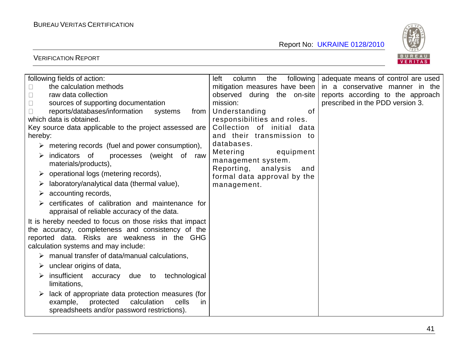

| following fields of action:                                     | following<br>column<br>left<br>the                        | adequate means of control are used |
|-----------------------------------------------------------------|-----------------------------------------------------------|------------------------------------|
| the calculation methods                                         | mitigation measures have been                             | in a conservative manner in the    |
| raw data collection                                             | observed during the on-site                               | reports according to the approach  |
| sources of supporting documentation                             | mission:                                                  | prescribed in the PDD version 3.   |
| reports/databases/information<br>systems<br>from                | Understanding<br>of                                       |                                    |
| which data is obtained.                                         | responsibilities and roles.                               |                                    |
| Key source data applicable to the project assessed are          | Collection of initial data                                |                                    |
| hereby:                                                         | and their transmission to                                 |                                    |
| $\triangleright$ metering records (fuel and power consumption), | databases.                                                |                                    |
| processes (weight of<br>indicators of<br>raw<br>➤               | Metering<br>equipment                                     |                                    |
| materials/products),                                            | management system.                                        |                                    |
| operational logs (metering records),                            | Reporting, analysis<br>and<br>formal data approval by the |                                    |
| laboratory/analytical data (thermal value),                     | management.                                               |                                    |
| accounting records,<br>➤                                        |                                                           |                                    |
|                                                                 |                                                           |                                    |
| certificates of calibration and maintenance for                 |                                                           |                                    |
| appraisal of reliable accuracy of the data.                     |                                                           |                                    |
| It is hereby needed to focus on those risks that impact         |                                                           |                                    |
| the accuracy, completeness and consistency of the               |                                                           |                                    |
| reported data. Risks are weakness in the GHG                    |                                                           |                                    |
| calculation systems and may include:                            |                                                           |                                    |
| manual transfer of data/manual calculations,                    |                                                           |                                    |
| unclear origins of data,                                        |                                                           |                                    |
| insufficient<br>technological<br>accuracy<br>due to             |                                                           |                                    |
| limitations,                                                    |                                                           |                                    |
| lack of appropriate data protection measures (for               |                                                           |                                    |
| calculation<br>cells<br>example,<br>protected<br>in.            |                                                           |                                    |
| spreadsheets and/or password restrictions).                     |                                                           |                                    |
|                                                                 |                                                           |                                    |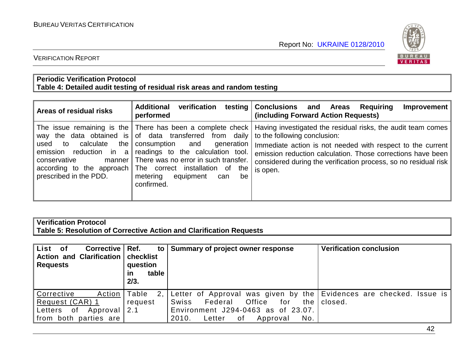

#### VERIFICATION REPORT

#### **Periodic Verification Protocol Table 4: Detailed audit testing of residual risk areas and random testing**

| Areas of residual risks                                                                                       | <b>Additional</b><br>verification<br>performed                                                                                                                                                                                                                                      | testing Conclusions and Areas<br>Requiring<br>Improvement<br>(including Forward Action Requests)                                                                                                                                                                                                                                                                      |
|---------------------------------------------------------------------------------------------------------------|-------------------------------------------------------------------------------------------------------------------------------------------------------------------------------------------------------------------------------------------------------------------------------------|-----------------------------------------------------------------------------------------------------------------------------------------------------------------------------------------------------------------------------------------------------------------------------------------------------------------------------------------------------------------------|
| calculate<br>the<br>used to<br>emission reduction in<br>a<br>conservative<br>manner<br>prescribed in the PDD. | way the data obtained is of data transferred from daily<br>consumption and<br>generation<br>readings to the calculation tool.<br>There was no error in such transfer.<br>according to the approach The correct installation of the<br>metering equipment<br>be<br>can<br>confirmed. | The issue remaining is the There has been a complete check   Having investigated the residual risks, the audit team comes<br>to the following conclusion:<br>Immediate action is not needed with respect to the current<br>emission reduction calculation. Those corrections have been<br>considered during the verification process, so no residual risk<br>is open. |

#### **Verification Protocol Table 5: Resolution of Corrective Action and Clarification Requests**

| List of<br><b>Corrective</b><br><b>Action and Clarification</b><br><b>Requests</b>      | Ref.<br>to<br>checklist<br>question<br>table<br>ın<br>2/3. | Summary of project owner response                                                                                                                                                          | <b>Verification conclusion</b> |  |
|-----------------------------------------------------------------------------------------|------------------------------------------------------------|--------------------------------------------------------------------------------------------------------------------------------------------------------------------------------------------|--------------------------------|--|
| Corrective<br>Action<br>Request (CAR) 1<br>Letters of Approval<br>from both parties are | Table<br>2,1<br>request<br>2.1                             | Letter of Approval was given by the Evidences are checked. Issue is<br>Federal<br>Office<br>for<br>Swiss<br>Environment J294-0463 as of 23.07.<br>No.<br>2010.<br>Letter<br>0f<br>Approval | the I closed.                  |  |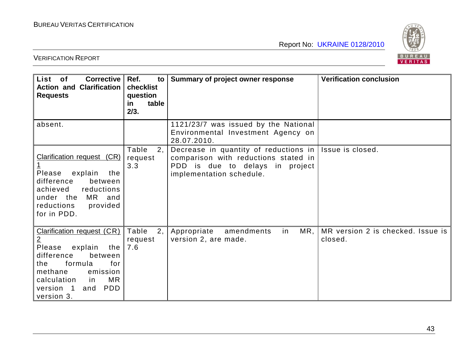

| List of<br><b>Corrective</b><br><b>Action and Clarification</b><br><b>Requests</b>                                                                                                                                                  | Ref.<br>$\mathsf{to}$<br>checklist<br>question<br>table<br>in<br>2/3. | Summary of project owner response                                                                                                                | <b>Verification conclusion</b>               |
|-------------------------------------------------------------------------------------------------------------------------------------------------------------------------------------------------------------------------------------|-----------------------------------------------------------------------|--------------------------------------------------------------------------------------------------------------------------------------------------|----------------------------------------------|
| absent.                                                                                                                                                                                                                             |                                                                       | 1121/23/7 was issued by the National<br>Environmental Investment Agency on<br>28.07.2010.                                                        |                                              |
| Clarification request (CR)<br>$\overline{1}$<br>Please<br>explain<br>the<br>difference<br>between<br>achieved<br>reductions<br>under the MR and<br>reductions<br>provided<br>for in PDD.                                            | Table<br>2,<br>request<br>3.3                                         | Decrease in quantity of reductions in $ $<br>comparison with reductions stated in<br>PDD is due to delays in project<br>implementation schedule. | Issue is closed.                             |
| <b>Clarification request (CR)</b><br>$\overline{2}$<br>Please<br>explain<br>the<br>difference<br>between<br>formula<br>for<br>the<br>methane<br>emission<br>MR<br>calculation<br>in<br><b>PDD</b><br>version 1<br>and<br>version 3. | Table<br>2,<br>request<br>7.6                                         | MR,<br>Appropriate<br>amendments<br>in<br>version 2, are made.                                                                                   | MR version 2 is checked. Issue is<br>closed. |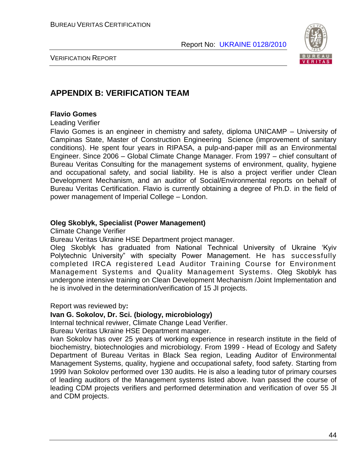

VERIFICATION REPORT

#### **APPENDIX B: VERIFICATION TEAM**

#### **Flavio Gomes**

Leading Verifier

Flavio Gomes is an engineer in chemistry and safety, diploma UNICAMP – University of Campinas State, Master of Construction Engineering Science (improvement of sanitary conditions). He spent four years in RIPASA, a pulp-and-paper mill as an Environmental Engineer. Since 2006 – Global Climate Change Manager. From 1997 – chief consultant of Bureau Veritas Consulting for the management systems of environment, quality, hygiene and occupational safety, and social liability. He is also a project verifier under Clean Development Mechanism, and an auditor of Social/Environmental reports on behalf of Bureau Veritas Certification. Flavio is currently obtaining a degree of Ph.D. in the field of power management of Imperial College – London.

#### **Oleg Skoblyk, Specialist (Power Management)**

Climate Change Verifier

Bureau Veritas Ukraine HSE Department project manager.

Oleg Skoblyk has graduated from National Technical University of Ukraine "Kyiv Polytechnic University" with specialty Power Management. He has successfully completed IRCA registered Lead Auditor Training Course for Environment Management Systems and Quality Management Systems. Oleg Skoblyk has undergone intensive training on Clean Development Mechanism /Joint Implementation and he is involved in the determination/verification of 15 JI projects.

Report was reviewed by**:**

#### **Ivan G. Sokolov, Dr. Sci. (biology, microbiology)**

Internal technical reviwer, Climate Change Lead Verifier.

Bureau Veritas Ukraine HSE Department manager.

Ivan Sokolov has over 25 years of working experience in research institute in the field of biochemistry, biotechnologies and microbiology. From 1999 - Head of Ecology and Safety Department of Bureau Veritas in Black Sea region, Leading Auditor of Environmental Management Systems, quality, hygiene and occupational safety, food safety. Starting from 1999 Ivan Sokolov performed over 130 audits. He is also a leading tutor of primary courses of leading auditors of the Management systems listed above. Ivan passed the course of leading CDM projects verifiers and performed determination and verification of over 55 JI and CDM projects.